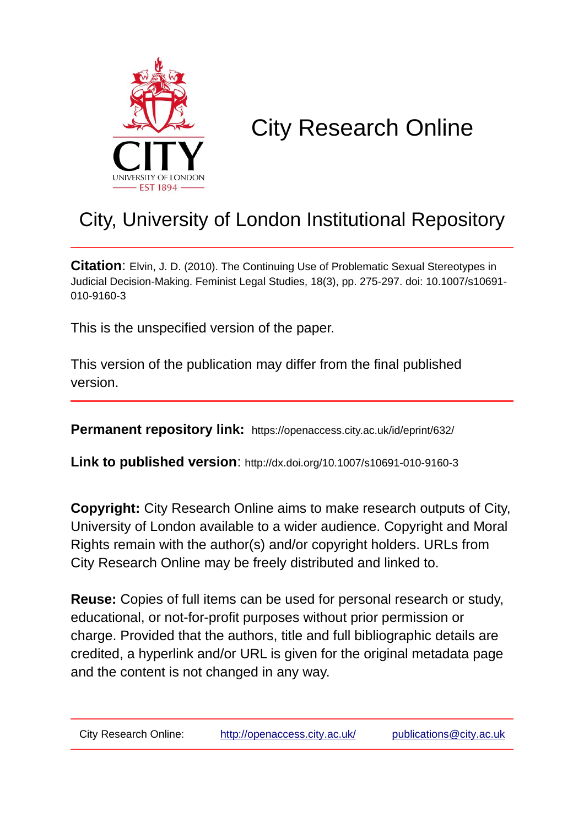

# City Research Online

## City, University of London Institutional Repository

**Citation:** Elvin, J. D. (2010). The Continuing Use of Problematic Sexual Stereotypes in Judicial Decision-Making. Feminist Legal Studies, 18(3), pp. 275-297. doi: 10.1007/s10691- 010-9160-3

This is the unspecified version of the paper.

This version of the publication may differ from the final published version.

**Permanent repository link:** https://openaccess.city.ac.uk/id/eprint/632/

**Link to published version**: http://dx.doi.org/10.1007/s10691-010-9160-3

**Copyright:** City Research Online aims to make research outputs of City, University of London available to a wider audience. Copyright and Moral Rights remain with the author(s) and/or copyright holders. URLs from City Research Online may be freely distributed and linked to.

**Reuse:** Copies of full items can be used for personal research or study, educational, or not-for-profit purposes without prior permission or charge. Provided that the authors, title and full bibliographic details are credited, a hyperlink and/or URL is given for the original metadata page and the content is not changed in any way.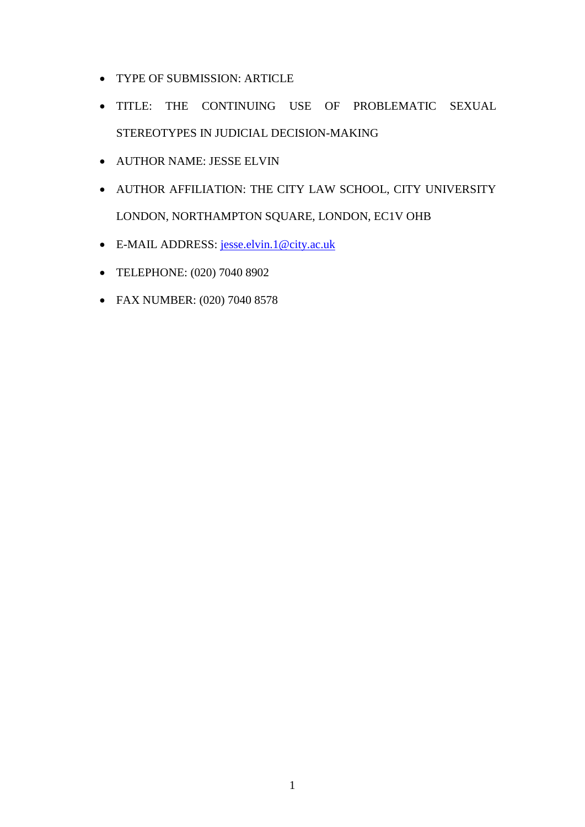- TYPE OF SUBMISSION: ARTICLE
- TITLE: THE CONTINUING USE OF PROBLEMATIC SEXUAL STEREOTYPES IN JUDICIAL DECISION-MAKING
- AUTHOR NAME: JESSE ELVIN
- AUTHOR AFFILIATION: THE CITY LAW SCHOOL, CITY UNIVERSITY LONDON, NORTHAMPTON SQUARE, LONDON, EC1V OHB
- E-MAIL ADDRESS: [jesse.elvin.1@city.ac.uk](mailto:jesse.elvin.1@city.ac.uk)
- TELEPHONE: (020) 7040 8902
- FAX NUMBER: (020) 7040 8578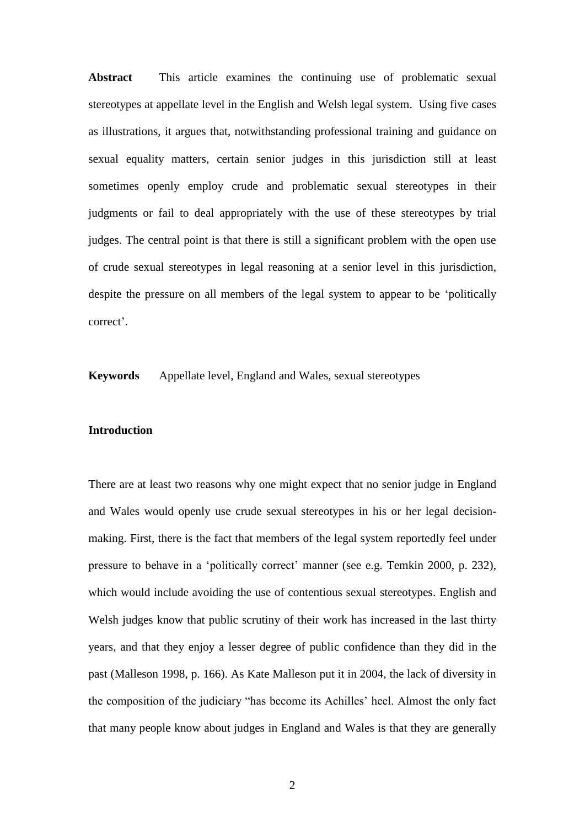**Abstract** This article examines the continuing use of problematic sexual stereotypes at appellate level in the English and Welsh legal system. Using five cases as illustrations, it argues that, notwithstanding professional training and guidance on sexual equality matters, certain senior judges in this jurisdiction still at least sometimes openly employ crude and problematic sexual stereotypes in their judgments or fail to deal appropriately with the use of these stereotypes by trial judges. The central point is that there is still a significant problem with the open use of crude sexual stereotypes in legal reasoning at a senior level in this jurisdiction, despite the pressure on all members of the legal system to appear to be "politically correct'.

**Keywords** Appellate level, England and Wales, sexual stereotypes

#### **Introduction**

There are at least two reasons why one might expect that no senior judge in England and Wales would openly use crude sexual stereotypes in his or her legal decisionmaking. First, there is the fact that members of the legal system reportedly feel under pressure to behave in a "politically correct" manner (see e.g. Temkin 2000, p. 232), which would include avoiding the use of contentious sexual stereotypes. English and Welsh judges know that public scrutiny of their work has increased in the last thirty years, and that they enjoy a lesser degree of public confidence than they did in the past (Malleson 1998, p. 166). As Kate Malleson put it in 2004, the lack of diversity in the composition of the judiciary "has become its Achilles" heel. Almost the only fact that many people know about judges in England and Wales is that they are generally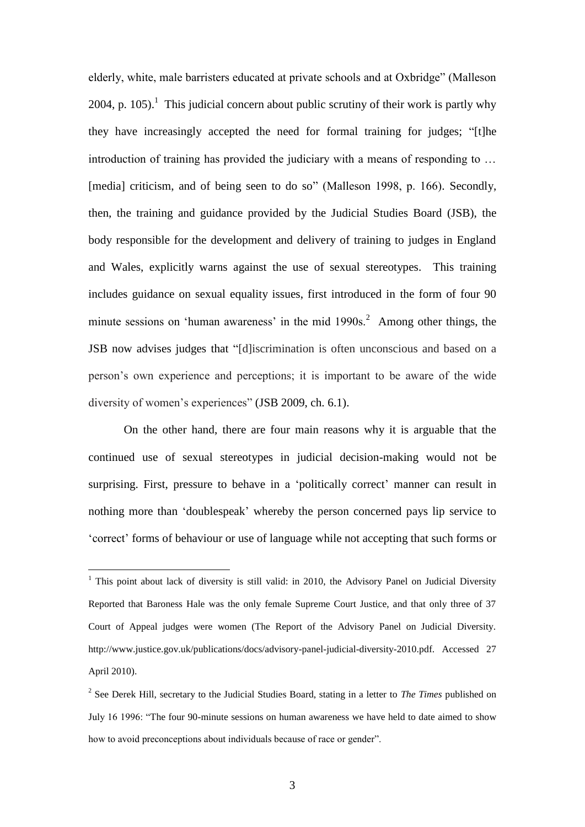elderly, white, male barristers educated at private schools and at Oxbridge" (Malleson 2004, p. 105).<sup>1</sup> This judicial concern about public scrutiny of their work is partly why they have increasingly accepted the need for formal training for judges; "[t]he introduction of training has provided the judiciary with a means of responding to … [media] criticism, and of being seen to do so" (Malleson 1998, p. 166). Secondly, then, the training and guidance provided by the Judicial Studies Board (JSB), the body responsible for the development and delivery of training to judges in England and Wales, explicitly warns against the use of sexual stereotypes. This training includes guidance on sexual equality issues, first introduced in the form of four 90 minute sessions on 'human awareness' in the mid  $1990s$ <sup>2</sup> Among other things, the JSB now advises judges that "[d]iscrimination is often unconscious and based on a person"s own experience and perceptions; it is important to be aware of the wide diversity of women's experiences" (JSB 2009, ch. 6.1).

On the other hand, there are four main reasons why it is arguable that the continued use of sexual stereotypes in judicial decision-making would not be surprising. First, pressure to behave in a 'politically correct' manner can result in nothing more than "doublespeak" whereby the person concerned pays lip service to "correct" forms of behaviour or use of language while not accepting that such forms or

<sup>&</sup>lt;sup>1</sup> This point about lack of diversity is still valid: in 2010, the Advisory Panel on Judicial Diversity Reported that Baroness Hale was the only female Supreme Court Justice, and that only three of 37 Court of Appeal judges were women (The Report of the Advisory Panel on Judicial Diversity. http://www.justice.gov.uk/publications/docs/advisory-panel-judicial-diversity-2010.pdf. Accessed 27 April 2010).

<sup>2</sup> See Derek Hill, secretary to the Judicial Studies Board, stating in a letter to *The Times* published on July 16 1996: "The four 90-minute sessions on human awareness we have held to date aimed to show how to avoid preconceptions about individuals because of race or gender".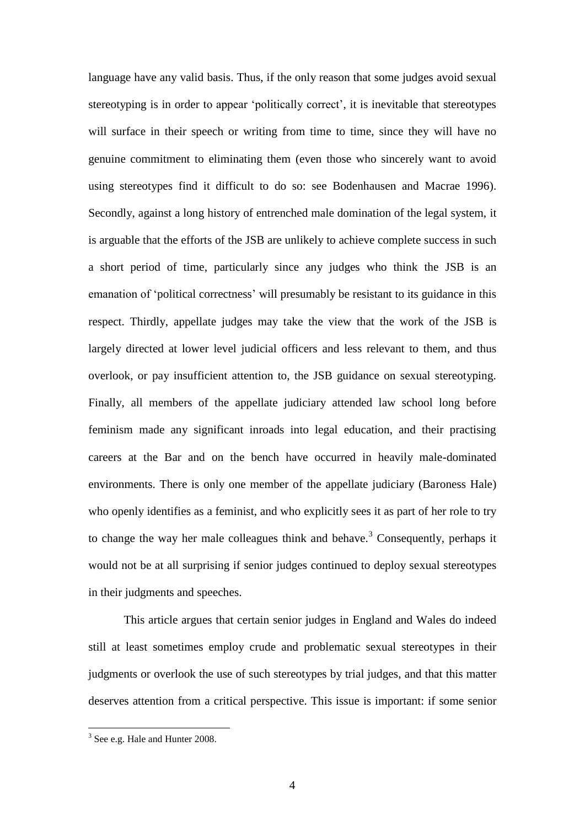language have any valid basis. Thus, if the only reason that some judges avoid sexual stereotyping is in order to appear "politically correct", it is inevitable that stereotypes will surface in their speech or writing from time to time, since they will have no genuine commitment to eliminating them (even those who sincerely want to avoid using stereotypes find it difficult to do so: see Bodenhausen and Macrae 1996). Secondly, against a long history of entrenched male domination of the legal system, it is arguable that the efforts of the JSB are unlikely to achieve complete success in such a short period of time, particularly since any judges who think the JSB is an emanation of 'political correctness' will presumably be resistant to its guidance in this respect. Thirdly, appellate judges may take the view that the work of the JSB is largely directed at lower level judicial officers and less relevant to them, and thus overlook, or pay insufficient attention to, the JSB guidance on sexual stereotyping. Finally, all members of the appellate judiciary attended law school long before feminism made any significant inroads into legal education, and their practising careers at the Bar and on the bench have occurred in heavily male-dominated environments. There is only one member of the appellate judiciary (Baroness Hale) who openly identifies as a feminist, and who explicitly sees it as part of her role to try to change the way her male colleagues think and behave.<sup>3</sup> Consequently, perhaps it would not be at all surprising if senior judges continued to deploy sexual stereotypes in their judgments and speeches.

This article argues that certain senior judges in England and Wales do indeed still at least sometimes employ crude and problematic sexual stereotypes in their judgments or overlook the use of such stereotypes by trial judges, and that this matter deserves attention from a critical perspective. This issue is important: if some senior

<sup>&</sup>lt;sup>3</sup> See e.g. Hale and Hunter 2008.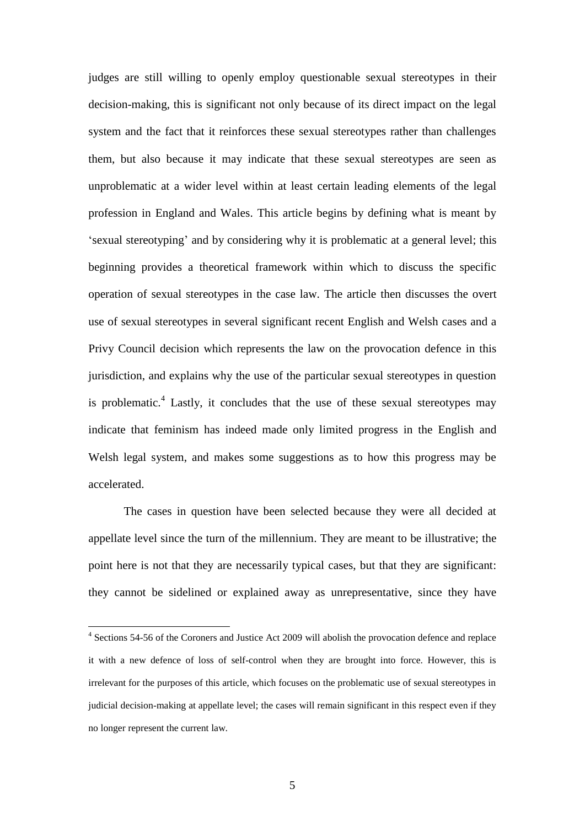judges are still willing to openly employ questionable sexual stereotypes in their decision-making, this is significant not only because of its direct impact on the legal system and the fact that it reinforces these sexual stereotypes rather than challenges them, but also because it may indicate that these sexual stereotypes are seen as unproblematic at a wider level within at least certain leading elements of the legal profession in England and Wales. This article begins by defining what is meant by 'sexual stereotyping' and by considering why it is problematic at a general level; this beginning provides a theoretical framework within which to discuss the specific operation of sexual stereotypes in the case law. The article then discusses the overt use of sexual stereotypes in several significant recent English and Welsh cases and a Privy Council decision which represents the law on the provocation defence in this jurisdiction, and explains why the use of the particular sexual stereotypes in question is problematic.<sup>4</sup> Lastly, it concludes that the use of these sexual stereotypes may indicate that feminism has indeed made only limited progress in the English and Welsh legal system, and makes some suggestions as to how this progress may be accelerated.

The cases in question have been selected because they were all decided at appellate level since the turn of the millennium. They are meant to be illustrative; the point here is not that they are necessarily typical cases, but that they are significant: they cannot be sidelined or explained away as unrepresentative, since they have

<u>.</u>

<sup>&</sup>lt;sup>4</sup> Sections 54-56 of the Coroners and Justice Act 2009 will abolish the provocation defence and replace it with a new defence of loss of self-control when they are brought into force. However, this is irrelevant for the purposes of this article, which focuses on the problematic use of sexual stereotypes in judicial decision-making at appellate level; the cases will remain significant in this respect even if they no longer represent the current law.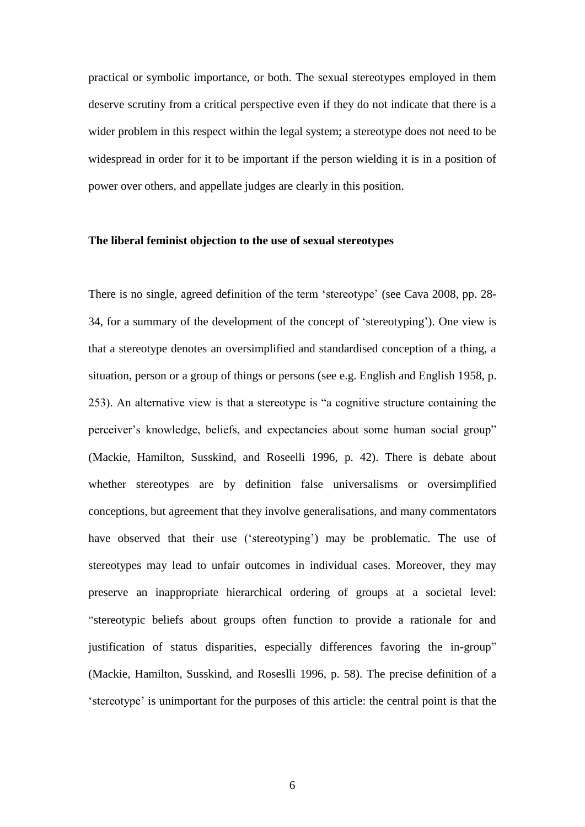practical or symbolic importance, or both. The sexual stereotypes employed in them deserve scrutiny from a critical perspective even if they do not indicate that there is a wider problem in this respect within the legal system; a stereotype does not need to be widespread in order for it to be important if the person wielding it is in a position of power over others, and appellate judges are clearly in this position.

### **The liberal feminist objection to the use of sexual stereotypes**

There is no single, agreed definition of the term "stereotype" (see Cava 2008, pp. 28- 34, for a summary of the development of the concept of "stereotyping"). One view is that a stereotype denotes an oversimplified and standardised conception of a thing, a situation, person or a group of things or persons (see e.g. English and English 1958, p. 253). An alternative view is that a stereotype is "a cognitive structure containing the perceiver"s knowledge, beliefs, and expectancies about some human social group" (Mackie, Hamilton, Susskind, and Roseelli 1996, p. 42). There is debate about whether stereotypes are by definition false universalisms or oversimplified conceptions, but agreement that they involve generalisations, and many commentators have observed that their use ('stereotyping') may be problematic. The use of stereotypes may lead to unfair outcomes in individual cases. Moreover, they may preserve an inappropriate hierarchical ordering of groups at a societal level: "stereotypic beliefs about groups often function to provide a rationale for and justification of status disparities, especially differences favoring the in-group" (Mackie, Hamilton, Susskind, and Roseslli 1996, p. 58). The precise definition of a "stereotype" is unimportant for the purposes of this article: the central point is that the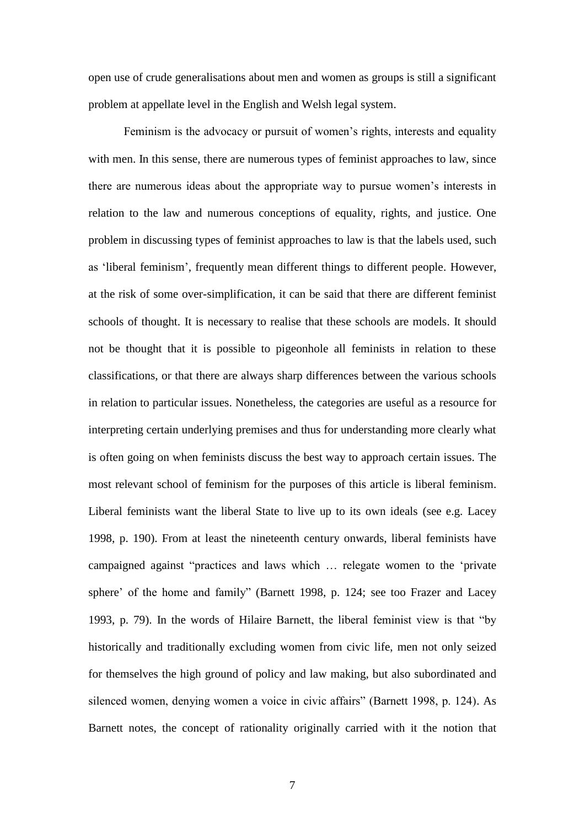open use of crude generalisations about men and women as groups is still a significant problem at appellate level in the English and Welsh legal system.

Feminism is the advocacy or pursuit of women's rights, interests and equality with men. In this sense, there are numerous types of feminist approaches to law, since there are numerous ideas about the appropriate way to pursue women"s interests in relation to the law and numerous conceptions of equality, rights, and justice. One problem in discussing types of feminist approaches to law is that the labels used, such as "liberal feminism", frequently mean different things to different people. However, at the risk of some over-simplification, it can be said that there are different feminist schools of thought. It is necessary to realise that these schools are models. It should not be thought that it is possible to pigeonhole all feminists in relation to these classifications, or that there are always sharp differences between the various schools in relation to particular issues. Nonetheless, the categories are useful as a resource for interpreting certain underlying premises and thus for understanding more clearly what is often going on when feminists discuss the best way to approach certain issues. The most relevant school of feminism for the purposes of this article is liberal feminism. Liberal feminists want the liberal State to live up to its own ideals (see e.g. Lacey 1998, p. 190). From at least the nineteenth century onwards, liberal feminists have campaigned against "practices and laws which … relegate women to the "private sphere' of the home and family" (Barnett 1998, p. 124; see too Frazer and Lacey 1993, p. 79). In the words of Hilaire Barnett, the liberal feminist view is that "by historically and traditionally excluding women from civic life, men not only seized for themselves the high ground of policy and law making, but also subordinated and silenced women, denying women a voice in civic affairs" (Barnett 1998, p. 124). As Barnett notes, the concept of rationality originally carried with it the notion that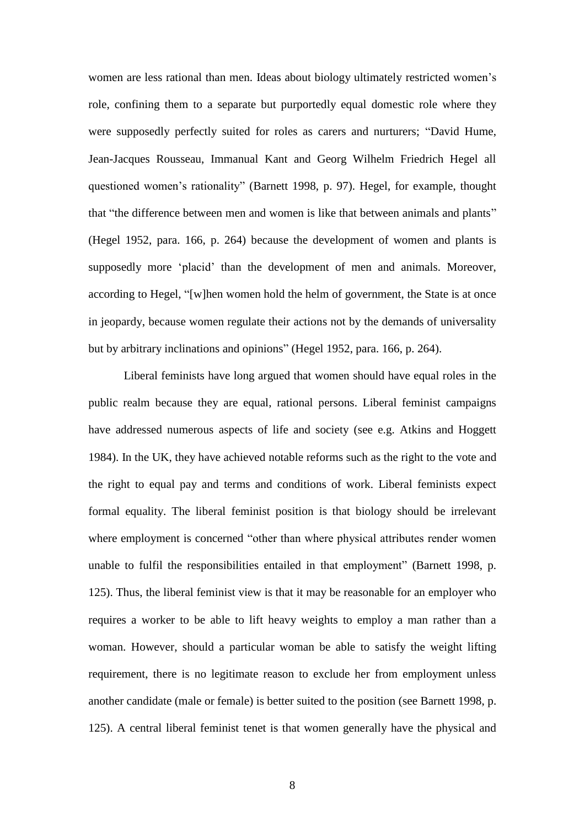women are less rational than men. Ideas about biology ultimately restricted women"s role, confining them to a separate but purportedly equal domestic role where they were supposedly perfectly suited for roles as carers and nurturers; "David Hume, Jean-Jacques Rousseau, Immanual Kant and Georg Wilhelm Friedrich Hegel all questioned women"s rationality" (Barnett 1998, p. 97). Hegel, for example, thought that "the difference between men and women is like that between animals and plants" (Hegel 1952, para. 166, p. 264) because the development of women and plants is supposedly more "placid" than the development of men and animals. Moreover, according to Hegel, "[w]hen women hold the helm of government, the State is at once in jeopardy, because women regulate their actions not by the demands of universality but by arbitrary inclinations and opinions" (Hegel 1952, para. 166, p. 264).

Liberal feminists have long argued that women should have equal roles in the public realm because they are equal, rational persons. Liberal feminist campaigns have addressed numerous aspects of life and society (see e.g. Atkins and Hoggett 1984). In the UK, they have achieved notable reforms such as the right to the vote and the right to equal pay and terms and conditions of work. Liberal feminists expect formal equality. The liberal feminist position is that biology should be irrelevant where employment is concerned "other than where physical attributes render women unable to fulfil the responsibilities entailed in that employment" (Barnett 1998, p. 125). Thus, the liberal feminist view is that it may be reasonable for an employer who requires a worker to be able to lift heavy weights to employ a man rather than a woman. However, should a particular woman be able to satisfy the weight lifting requirement, there is no legitimate reason to exclude her from employment unless another candidate (male or female) is better suited to the position (see Barnett 1998, p. 125). A central liberal feminist tenet is that women generally have the physical and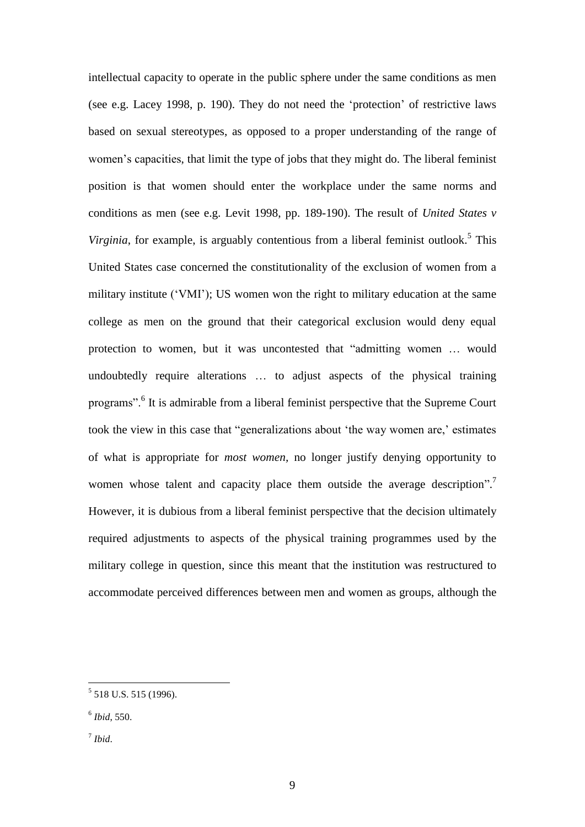intellectual capacity to operate in the public sphere under the same conditions as men (see e.g. Lacey 1998, p. 190). They do not need the "protection" of restrictive laws based on sexual stereotypes, as opposed to a proper understanding of the range of women"s capacities, that limit the type of jobs that they might do. The liberal feminist position is that women should enter the workplace under the same norms and conditions as men (see e.g. Levit 1998, pp. 189-190). The result of *United States v*  Virginia, for example, is arguably contentious from a liberal feminist outlook.<sup>5</sup> This United States case concerned the constitutionality of the exclusion of women from a military institute ('VMI'); US women won the right to military education at the same college as men on the ground that their categorical exclusion would deny equal protection to women, but it was uncontested that "admitting women … would undoubtedly require alterations … to adjust aspects of the physical training programs".<sup>6</sup> It is admirable from a liberal feminist perspective that the Supreme Court took the view in this case that "generalizations about 'the way women are,' estimates of what is appropriate for *most women,* no longer justify denying opportunity to women whose talent and capacity place them outside the average description".<sup>7</sup> However, it is dubious from a liberal feminist perspective that the decision ultimately required adjustments to aspects of the physical training programmes used by the military college in question, since this meant that the institution was restructured to accommodate perceived differences between men and women as groups, although the

<sup>&</sup>lt;sup>5</sup> 518 U.S. 515 (1996).

<sup>6</sup> *Ibid*, 550.

<sup>7</sup> *Ibid*.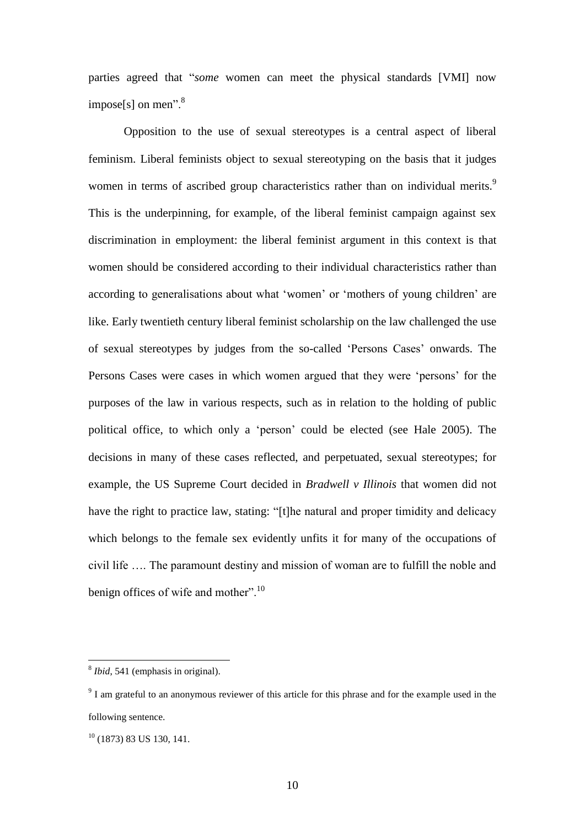parties agreed that "*some* women can meet the physical standards [VMI] now impose $[s]$  on men".<sup>8</sup>

Opposition to the use of sexual stereotypes is a central aspect of liberal feminism. Liberal feminists object to sexual stereotyping on the basis that it judges women in terms of ascribed group characteristics rather than on individual merits.<sup>9</sup> This is the underpinning, for example, of the liberal feminist campaign against sex discrimination in employment: the liberal feminist argument in this context is that women should be considered according to their individual characteristics rather than according to generalisations about what 'women' or 'mothers of young children' are like. Early twentieth century liberal feminist scholarship on the law challenged the use of sexual stereotypes by judges from the so-called "Persons Cases" onwards. The Persons Cases were cases in which women argued that they were "persons" for the purposes of the law in various respects, such as in relation to the holding of public political office, to which only a "person" could be elected (see Hale 2005). The decisions in many of these cases reflected, and perpetuated, sexual stereotypes; for example, the US Supreme Court decided in *Bradwell v Illinois* that women did not have the right to practice law, stating: "[t]he natural and proper timidity and delicacy which belongs to the female sex evidently unfits it for many of the occupations of civil life …. The paramount destiny and mission of woman are to fulfill the noble and benign offices of wife and mother". $^{10}$ 

<sup>8</sup> *Ibid*, 541 (emphasis in original).

<sup>&</sup>lt;sup>9</sup> I am grateful to an anonymous reviewer of this article for this phrase and for the example used in the following sentence.

<sup>10</sup> (1873) 83 US 130, 141.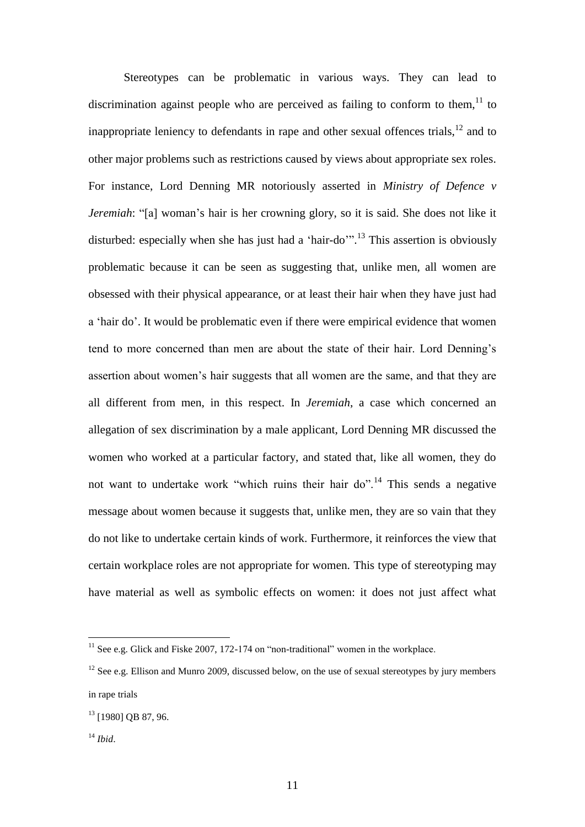Stereotypes can be problematic in various ways. They can lead to discrimination against people who are perceived as failing to conform to them.<sup>11</sup> to inappropriate leniency to defendants in rape and other sexual offences trials,  $^{12}$  and to other major problems such as restrictions caused by views about appropriate sex roles. For instance, Lord Denning MR notoriously asserted in *Ministry of Defence v Jeremiah*: "[a] woman's hair is her crowning glory, so it is said. She does not like it disturbed: especially when she has just had a 'hair-do'".<sup>13</sup> This assertion is obviously problematic because it can be seen as suggesting that, unlike men, all women are obsessed with their physical appearance, or at least their hair when they have just had a "hair do". It would be problematic even if there were empirical evidence that women tend to more concerned than men are about the state of their hair. Lord Denning"s assertion about women"s hair suggests that all women are the same, and that they are all different from men, in this respect. In *Jeremiah*, a case which concerned an allegation of sex discrimination by a male applicant, Lord Denning MR discussed the women who worked at a particular factory, and stated that, like all women, they do not want to undertake work "which ruins their hair do".<sup>14</sup> This sends a negative message about women because it suggests that, unlike men, they are so vain that they do not like to undertake certain kinds of work. Furthermore, it reinforces the view that certain workplace roles are not appropriate for women. This type of stereotyping may have material as well as symbolic effects on women: it does not just affect what

<sup>&</sup>lt;sup>11</sup> See e.g. Glick and Fiske 2007, 172-174 on "non-traditional" women in the workplace.

 $12$  See e.g. Ellison and Munro 2009, discussed below, on the use of sexual stereotypes by jury members in rape trials

<sup>&</sup>lt;sup>13</sup> [1980] OB 87, 96.

<sup>14</sup> *Ibid*.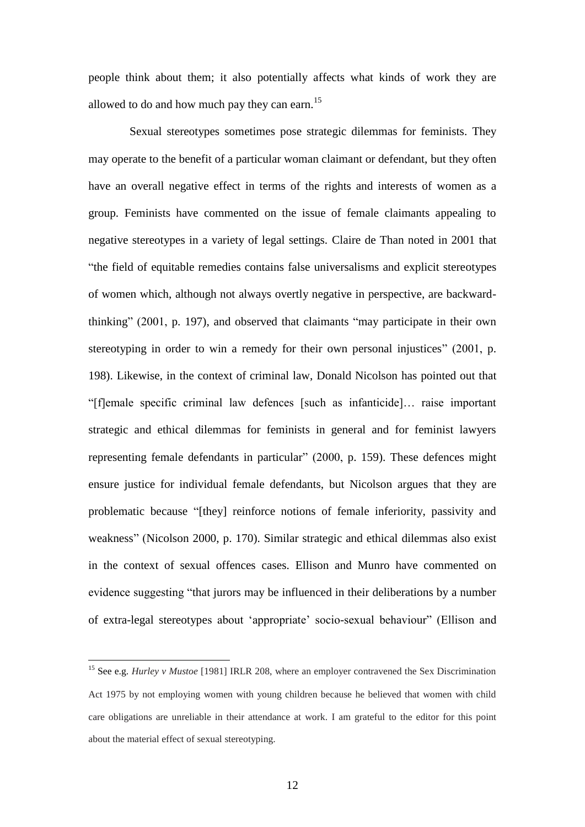people think about them; it also potentially affects what kinds of work they are allowed to do and how much pay they can earn.<sup>15</sup>

 Sexual stereotypes sometimes pose strategic dilemmas for feminists. They may operate to the benefit of a particular woman claimant or defendant, but they often have an overall negative effect in terms of the rights and interests of women as a group. Feminists have commented on the issue of female claimants appealing to negative stereotypes in a variety of legal settings. Claire de Than noted in 2001 that "the field of equitable remedies contains false universalisms and explicit stereotypes of women which, although not always overtly negative in perspective, are backwardthinking" (2001, p. 197), and observed that claimants "may participate in their own stereotyping in order to win a remedy for their own personal injustices" (2001, p. 198). Likewise, in the context of criminal law, Donald Nicolson has pointed out that "[f]emale specific criminal law defences [such as infanticide]… raise important strategic and ethical dilemmas for feminists in general and for feminist lawyers representing female defendants in particular" (2000, p. 159). These defences might ensure justice for individual female defendants, but Nicolson argues that they are problematic because "[they] reinforce notions of female inferiority, passivity and weakness" (Nicolson 2000, p. 170). Similar strategic and ethical dilemmas also exist in the context of sexual offences cases. Ellison and Munro have commented on evidence suggesting "that jurors may be influenced in their deliberations by a number of extra-legal stereotypes about "appropriate" socio-sexual behaviour" (Ellison and

<sup>&</sup>lt;sup>15</sup> See e.g. *Hurley v Mustoe* [1981] IRLR 208, where an employer contravened the Sex Discrimination Act 1975 by not employing women with young children because he believed that women with child care obligations are unreliable in their attendance at work. I am grateful to the editor for this point about the material effect of sexual stereotyping.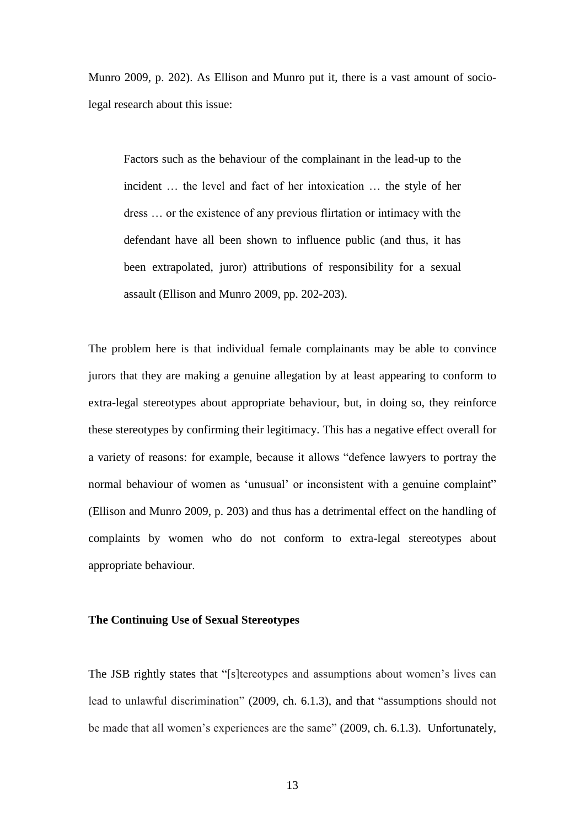Munro 2009, p. 202). As Ellison and Munro put it, there is a vast amount of sociolegal research about this issue:

Factors such as the behaviour of the complainant in the lead-up to the incident … the level and fact of her intoxication … the style of her dress … or the existence of any previous flirtation or intimacy with the defendant have all been shown to influence public (and thus, it has been extrapolated, juror) attributions of responsibility for a sexual assault (Ellison and Munro 2009, pp. 202-203).

The problem here is that individual female complainants may be able to convince jurors that they are making a genuine allegation by at least appearing to conform to extra-legal stereotypes about appropriate behaviour, but, in doing so, they reinforce these stereotypes by confirming their legitimacy. This has a negative effect overall for a variety of reasons: for example, because it allows "defence lawyers to portray the normal behaviour of women as 'unusual' or inconsistent with a genuine complaint" (Ellison and Munro 2009, p. 203) and thus has a detrimental effect on the handling of complaints by women who do not conform to extra-legal stereotypes about appropriate behaviour.

### **The Continuing Use of Sexual Stereotypes**

The JSB rightly states that "[s]tereotypes and assumptions about women's lives can lead to unlawful discrimination" (2009, ch. 6.1.3), and that "assumptions should not be made that all women"s experiences are the same" (2009, ch. 6.1.3). Unfortunately,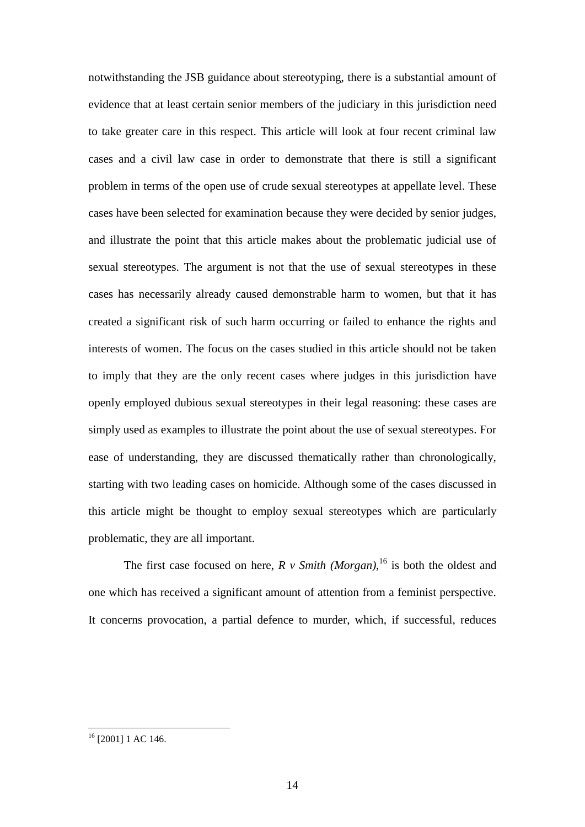notwithstanding the JSB guidance about stereotyping, there is a substantial amount of evidence that at least certain senior members of the judiciary in this jurisdiction need to take greater care in this respect. This article will look at four recent criminal law cases and a civil law case in order to demonstrate that there is still a significant problem in terms of the open use of crude sexual stereotypes at appellate level. These cases have been selected for examination because they were decided by senior judges, and illustrate the point that this article makes about the problematic judicial use of sexual stereotypes. The argument is not that the use of sexual stereotypes in these cases has necessarily already caused demonstrable harm to women, but that it has created a significant risk of such harm occurring or failed to enhance the rights and interests of women. The focus on the cases studied in this article should not be taken to imply that they are the only recent cases where judges in this jurisdiction have openly employed dubious sexual stereotypes in their legal reasoning: these cases are simply used as examples to illustrate the point about the use of sexual stereotypes. For ease of understanding, they are discussed thematically rather than chronologically, starting with two leading cases on homicide. Although some of the cases discussed in this article might be thought to employ sexual stereotypes which are particularly problematic, they are all important.

<span id="page-14-0"></span>The first case focused on here,  $R \, v$  Smith *(Morgan)*,<sup>16</sup> is both the oldest and one which has received a significant amount of attention from a feminist perspective. It concerns provocation, a partial defence to murder, which, if successful, reduces

<sup>&</sup>lt;sup>16</sup> [2001] 1 AC 146.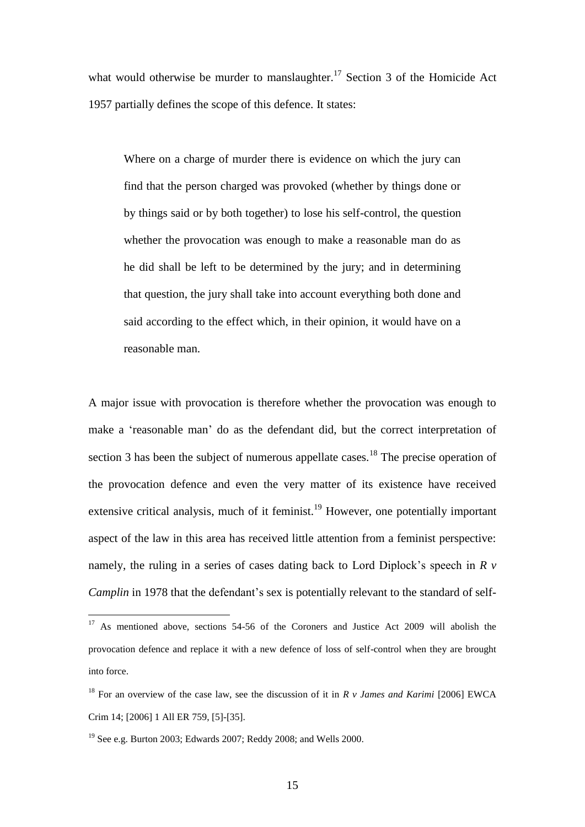what would otherwise be murder to manslaughter.<sup>17</sup> Section 3 of the Homicide Act 1957 partially defines the scope of this defence. It states:

Where on a charge of murder there is evidence on which the jury can find that the person charged was provoked (whether by things done or by things said or by both together) to lose his self-control, the question whether the provocation was enough to make a reasonable man do as he did shall be left to be determined by the jury; and in determining that question, the jury shall take into account everything both done and said according to the effect which, in their opinion, it would have on a reasonable man.

<span id="page-15-0"></span>A major issue with provocation is therefore whether the provocation was enough to make a "reasonable man" do as the defendant did, but the correct interpretation of section 3 has been the subject of numerous appellate cases.<sup>18</sup> The precise operation of the provocation defence and even the very matter of its existence have received extensive critical analysis, much of it feminist.<sup>19</sup> However, one potentially important aspect of the law in this area has received little attention from a feminist perspective: namely, the ruling in a series of cases dating back to Lord Diplock"s speech in *R v Camplin* in 1978 that the defendant's sex is potentially relevant to the standard of self-

<sup>&</sup>lt;sup>17</sup> As mentioned above, sections 54-56 of the Coroners and Justice Act 2009 will abolish the provocation defence and replace it with a new defence of loss of self-control when they are brought into force.

<sup>18</sup> For an overview of the case law, see the discussion of it in *R v James and Karimi* [2006] EWCA Crim 14; [2006] 1 All ER 759, [5]-[35].

<sup>19</sup> See e.g. Burton 2003; Edwards 2007; Reddy 2008; and Wells 2000.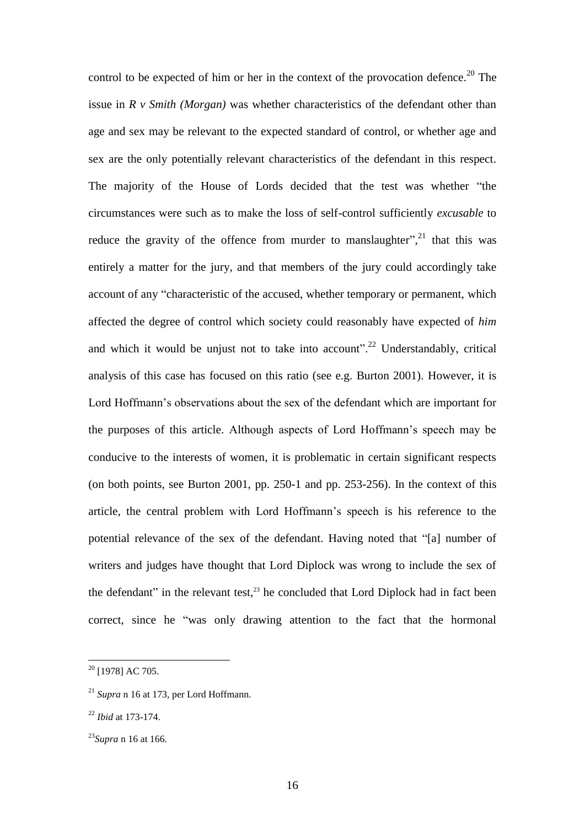control to be expected of him or her in the context of the provocation defence.<sup>20</sup> The issue in *R v Smith (Morgan)* was whether characteristics of the defendant other than age and sex may be relevant to the expected standard of control, or whether age and sex are the only potentially relevant characteristics of the defendant in this respect. The majority of the House of Lords decided that the test was whether "the circumstances were such as to make the loss of self-control sufficiently *excusable* to reduce the gravity of the offence from murder to manslaughter", $^{21}$  that this was entirely a matter for the jury, and that members of the jury could accordingly take account of any "characteristic of the accused, whether temporary or permanent, which affected the degree of control which society could reasonably have expected of *him*  and which it would be unjust not to take into account".<sup>22</sup> Understandably, critical analysis of this case has focused on this ratio (see e.g. Burton 2001). However, it is Lord Hoffmann's observations about the sex of the defendant which are important for the purposes of this article. Although aspects of Lord Hoffmann"s speech may be conducive to the interests of women, it is problematic in certain significant respects (on both points, see Burton 2001, pp. 250-1 and pp. 253-256). In the context of this article, the central problem with Lord Hoffmann"s speech is his reference to the potential relevance of the sex of the defendant. Having noted that "[a] number of writers and judges have thought that Lord Diplock was wrong to include the sex of the defendant" in the relevant test, $2<sup>3</sup>$  he concluded that Lord Diplock had in fact been correct, since he "was only drawing attention to the fact that the hormonal

 $20$  [1978] AC 705.

<sup>21</sup> *Supra* n [16](#page-14-0) at 173, per Lord Hoffmann.

<sup>22</sup> *Ibid* at 173-174.

<sup>23</sup>*Supra* n [16](#page-14-0) at 166.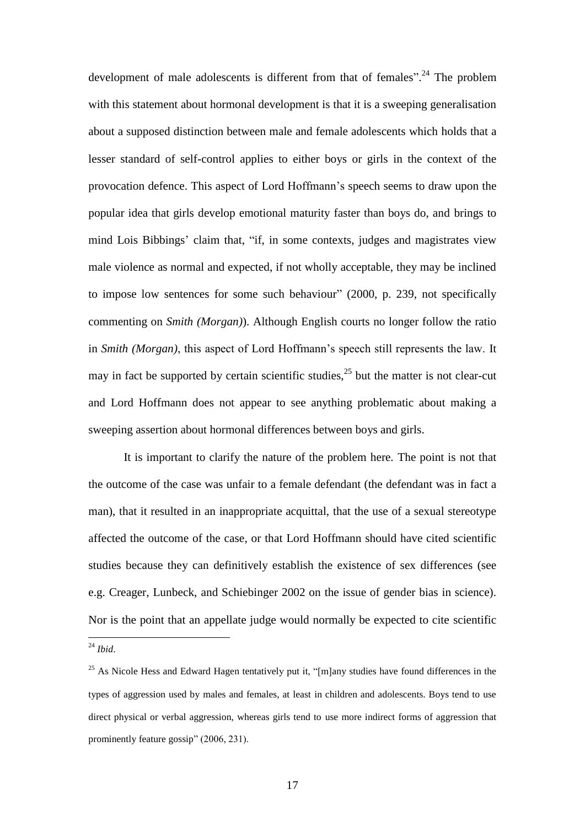development of male adolescents is different from that of females".<sup>24</sup> The problem with this statement about hormonal development is that it is a sweeping generalisation about a supposed distinction between male and female adolescents which holds that a lesser standard of self-control applies to either boys or girls in the context of the provocation defence. This aspect of Lord Hoffmann"s speech seems to draw upon the popular idea that girls develop emotional maturity faster than boys do, and brings to mind Lois Bibbings" claim that, "if, in some contexts, judges and magistrates view male violence as normal and expected, if not wholly acceptable, they may be inclined to impose low sentences for some such behaviour" (2000, p. 239, not specifically commenting on *Smith (Morgan)*). Although English courts no longer follow the ratio in *Smith (Morgan)*, this aspect of Lord Hoffmann's speech still represents the law. It may in fact be supported by certain scientific studies, $^{25}$  but the matter is not clear-cut and Lord Hoffmann does not appear to see anything problematic about making a sweeping assertion about hormonal differences between boys and girls.

It is important to clarify the nature of the problem here. The point is not that the outcome of the case was unfair to a female defendant (the defendant was in fact a man), that it resulted in an inappropriate acquittal, that the use of a sexual stereotype affected the outcome of the case, or that Lord Hoffmann should have cited scientific studies because they can definitively establish the existence of sex differences (see e.g. Creager, Lunbeck, and Schiebinger 2002 on the issue of gender bias in science). Nor is the point that an appellate judge would normally be expected to cite scientific

<sup>24</sup> *Ibid*.

<sup>&</sup>lt;sup>25</sup> As Nicole Hess and Edward Hagen tentatively put it, " $[m]$ any studies have found differences in the types of aggression used by males and females, at least in children and adolescents. Boys tend to use direct physical or verbal aggression, whereas girls tend to use more indirect forms of aggression that prominently feature gossip" (2006, 231).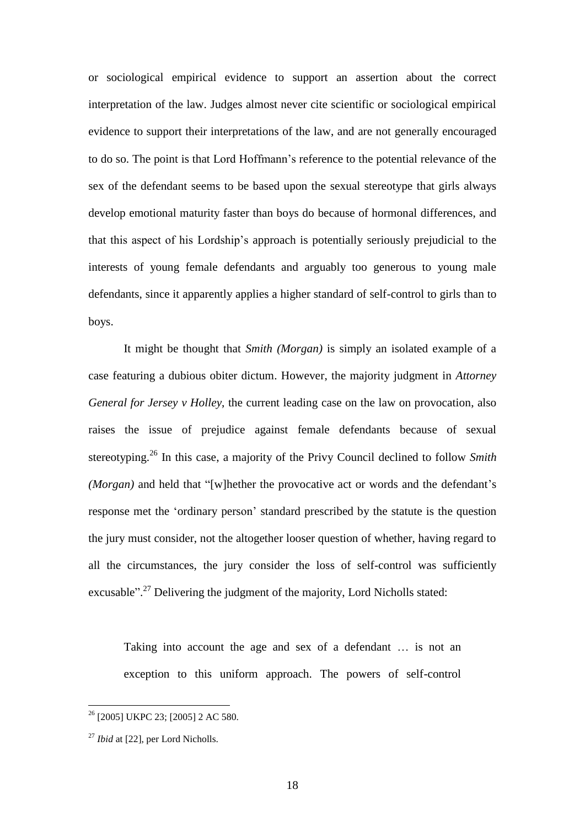or sociological empirical evidence to support an assertion about the correct interpretation of the law. Judges almost never cite scientific or sociological empirical evidence to support their interpretations of the law, and are not generally encouraged to do so. The point is that Lord Hoffmann"s reference to the potential relevance of the sex of the defendant seems to be based upon the sexual stereotype that girls always develop emotional maturity faster than boys do because of hormonal differences, and that this aspect of his Lordship"s approach is potentially seriously prejudicial to the interests of young female defendants and arguably too generous to young male defendants, since it apparently applies a higher standard of self-control to girls than to boys.

<span id="page-18-0"></span>It might be thought that *Smith (Morgan)* is simply an isolated example of a case featuring a dubious obiter dictum. However, the majority judgment in *Attorney General for Jersey v Holley*, the current leading case on the law on provocation, also raises the issue of prejudice against female defendants because of sexual stereotyping. <sup>26</sup> In this case, a majority of the Privy Council declined to follow *Smith (Morgan)* and held that "[w]hether the provocative act or words and the defendant's response met the "ordinary person" standard prescribed by the statute is the question the jury must consider, not the altogether looser question of whether, having regard to all the circumstances, the jury consider the loss of self-control was sufficiently excusable".<sup>27</sup> Delivering the judgment of the majority, Lord Nicholls stated:

Taking into account the age and sex of a defendant … is not an exception to this uniform approach. The powers of self-control

 $2^{26}$  [2005] UKPC 23; [2005] 2 AC 580.

<sup>27</sup> *Ibid* at [22], per Lord Nicholls.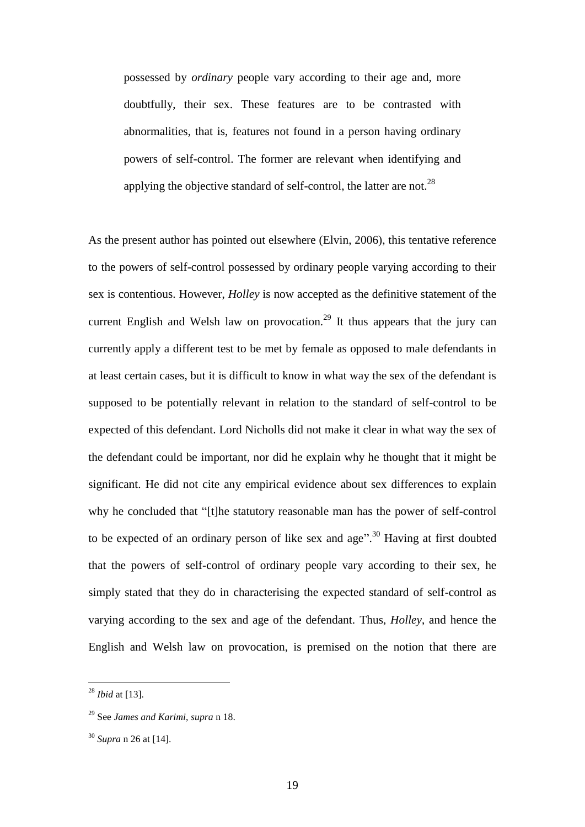possessed by *ordinary* people vary according to their age and, more doubtfully, their sex. These features are to be contrasted with abnormalities, that is, features not found in a person having ordinary powers of self-control. The former are relevant when identifying and applying the objective standard of self-control, the latter are not.<sup>28</sup>

As the present author has pointed out elsewhere (Elvin, 2006), this tentative reference to the powers of self-control possessed by ordinary people varying according to their sex is contentious. However, *Holley* is now accepted as the definitive statement of the current English and Welsh law on provocation.<sup>29</sup> It thus appears that the jury can currently apply a different test to be met by female as opposed to male defendants in at least certain cases, but it is difficult to know in what way the sex of the defendant is supposed to be potentially relevant in relation to the standard of self-control to be expected of this defendant. Lord Nicholls did not make it clear in what way the sex of the defendant could be important, nor did he explain why he thought that it might be significant. He did not cite any empirical evidence about sex differences to explain why he concluded that "[t]he statutory reasonable man has the power of self-control to be expected of an ordinary person of like sex and age".<sup>30</sup> Having at first doubted that the powers of self-control of ordinary people vary according to their sex, he simply stated that they do in characterising the expected standard of self-control as varying according to the sex and age of the defendant. Thus, *Holley*, and hence the English and Welsh law on provocation, is premised on the notion that there are

<sup>28</sup> *Ibid* at [13].

<sup>29</sup> See *James and Karimi*, *supra* n [18.](#page-15-0)

<sup>30</sup> *Supra* n [26](#page-18-0) at [14].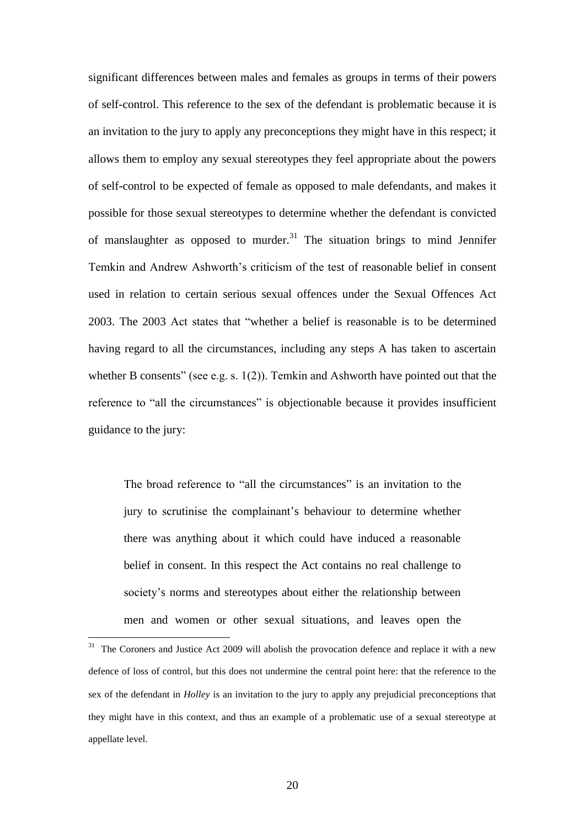significant differences between males and females as groups in terms of their powers of self-control. This reference to the sex of the defendant is problematic because it is an invitation to the jury to apply any preconceptions they might have in this respect; it allows them to employ any sexual stereotypes they feel appropriate about the powers of self-control to be expected of female as opposed to male defendants, and makes it possible for those sexual stereotypes to determine whether the defendant is convicted of manslaughter as opposed to murder.<sup>31</sup> The situation brings to mind Jennifer Temkin and Andrew Ashworth"s criticism of the test of reasonable belief in consent used in relation to certain serious sexual offences under the Sexual Offences Act 2003. The 2003 Act states that "whether a belief is reasonable is to be determined having regard to all the circumstances, including any steps A has taken to ascertain whether B consents" (see e.g. s. 1(2)). Temkin and Ashworth have pointed out that the reference to "all the circumstances" is objectionable because it provides insufficient guidance to the jury:

The broad reference to "all the circumstances" is an invitation to the jury to scrutinise the complainant's behaviour to determine whether there was anything about it which could have induced a reasonable belief in consent. In this respect the Act contains no real challenge to society's norms and stereotypes about either the relationship between men and women or other sexual situations, and leaves open the

<sup>31</sup> The Coroners and Justice Act 2009 will abolish the provocation defence and replace it with a new defence of loss of control, but this does not undermine the central point here: that the reference to the sex of the defendant in *Holley* is an invitation to the jury to apply any prejudicial preconceptions that they might have in this context, and thus an example of a problematic use of a sexual stereotype at appellate level.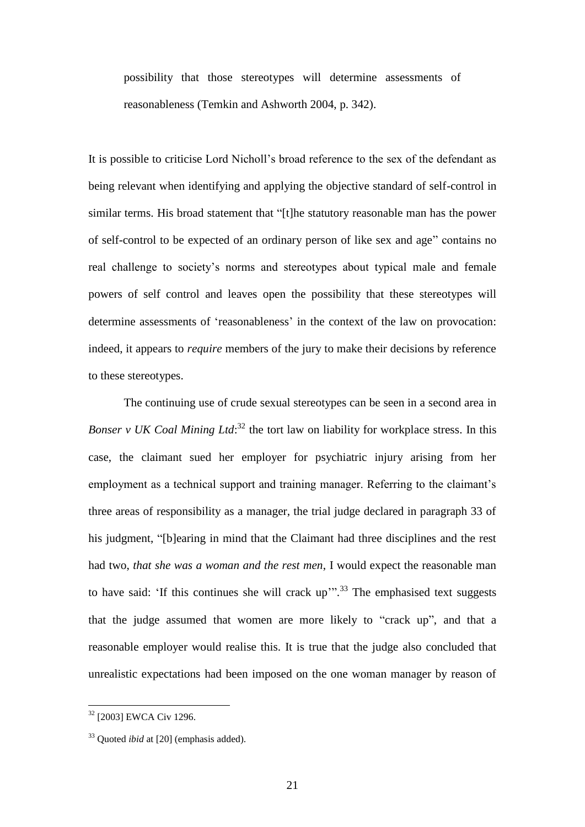possibility that those stereotypes will determine assessments of reasonableness (Temkin and Ashworth 2004, p. 342).

It is possible to criticise Lord Nicholl"s broad reference to the sex of the defendant as being relevant when identifying and applying the objective standard of self-control in similar terms. His broad statement that "[t]he statutory reasonable man has the power of self-control to be expected of an ordinary person of like sex and age" contains no real challenge to society"s norms and stereotypes about typical male and female powers of self control and leaves open the possibility that these stereotypes will determine assessments of "reasonableness" in the context of the law on provocation: indeed, it appears to *require* members of the jury to make their decisions by reference to these stereotypes.

The continuing use of crude sexual stereotypes can be seen in a second area in *Bonser v UK Coal Mining Ltd*:<sup>32</sup> the tort law on liability for workplace stress. In this case, the claimant sued her employer for psychiatric injury arising from her employment as a technical support and training manager. Referring to the claimant's three areas of responsibility as a manager, the trial judge declared in paragraph 33 of his judgment, "[b]earing in mind that the Claimant had three disciplines and the rest had two, *that she was a woman and the rest men*, I would expect the reasonable man to have said: 'If this continues she will crack  $up$ ".<sup>33</sup> The emphasised text suggests that the judge assumed that women are more likely to "crack up", and that a reasonable employer would realise this. It is true that the judge also concluded that unrealistic expectations had been imposed on the one woman manager by reason of

<sup>&</sup>lt;sup>32</sup> [2003] EWCA Civ 1296.

<sup>33</sup> Quoted *ibid* at [20] (emphasis added).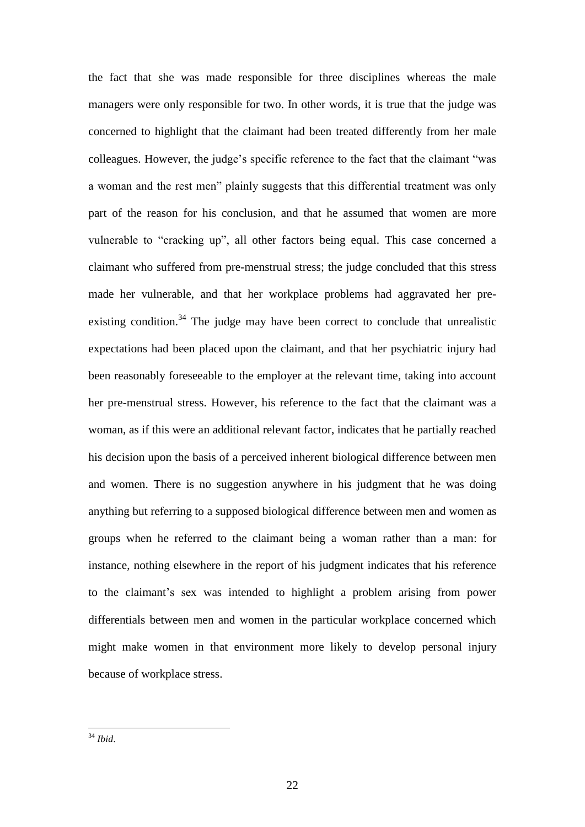the fact that she was made responsible for three disciplines whereas the male managers were only responsible for two. In other words, it is true that the judge was concerned to highlight that the claimant had been treated differently from her male colleagues. However, the judge"s specific reference to the fact that the claimant "was a woman and the rest men" plainly suggests that this differential treatment was only part of the reason for his conclusion, and that he assumed that women are more vulnerable to "cracking up", all other factors being equal. This case concerned a claimant who suffered from pre-menstrual stress; the judge concluded that this stress made her vulnerable, and that her workplace problems had aggravated her preexisting condition.<sup>34</sup> The judge may have been correct to conclude that unrealistic expectations had been placed upon the claimant, and that her psychiatric injury had been reasonably foreseeable to the employer at the relevant time, taking into account her pre-menstrual stress. However, his reference to the fact that the claimant was a woman, as if this were an additional relevant factor, indicates that he partially reached his decision upon the basis of a perceived inherent biological difference between men and women. There is no suggestion anywhere in his judgment that he was doing anything but referring to a supposed biological difference between men and women as groups when he referred to the claimant being a woman rather than a man: for instance, nothing elsewhere in the report of his judgment indicates that his reference to the claimant"s sex was intended to highlight a problem arising from power differentials between men and women in the particular workplace concerned which might make women in that environment more likely to develop personal injury because of workplace stress.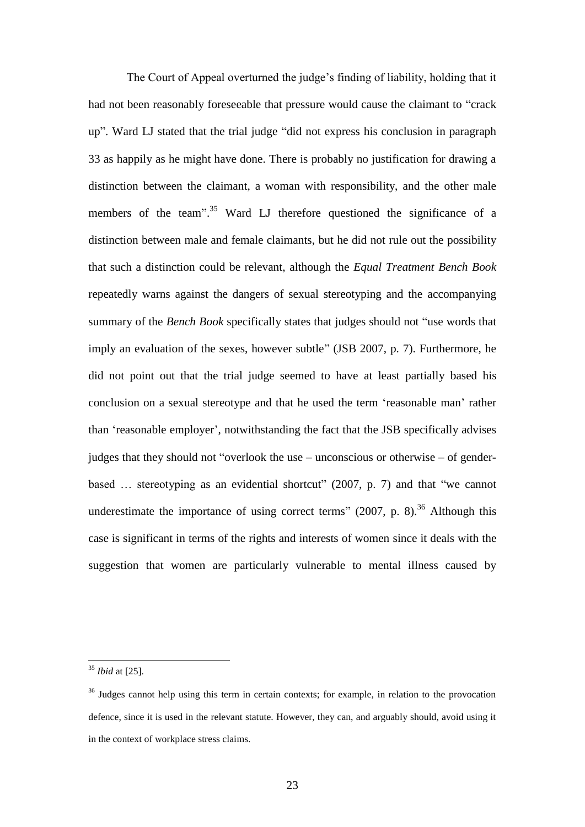The Court of Appeal overturned the judge"s finding of liability, holding that it had not been reasonably foreseeable that pressure would cause the claimant to "crack up". Ward LJ stated that the trial judge "did not express his conclusion in paragraph 33 as happily as he might have done. There is probably no justification for drawing a distinction between the claimant, a woman with responsibility, and the other male members of the team".<sup>35</sup> Ward LJ therefore questioned the significance of a distinction between male and female claimants, but he did not rule out the possibility that such a distinction could be relevant, although the *Equal Treatment Bench Book* repeatedly warns against the dangers of sexual stereotyping and the accompanying summary of the *Bench Book* specifically states that judges should not "use words that imply an evaluation of the sexes, however subtle" (JSB 2007, p. 7). Furthermore, he did not point out that the trial judge seemed to have at least partially based his conclusion on a sexual stereotype and that he used the term "reasonable man" rather than "reasonable employer", notwithstanding the fact that the JSB specifically advises judges that they should not "overlook the use – unconscious or otherwise – of genderbased … stereotyping as an evidential shortcut" (2007, p. 7) and that "we cannot underestimate the importance of using correct terms"  $(2007, p. 8)$ .<sup>36</sup> Although this case is significant in terms of the rights and interests of women since it deals with the suggestion that women are particularly vulnerable to mental illness caused by

<sup>35</sup> *Ibid* at [25].

<sup>&</sup>lt;sup>36</sup> Judges cannot help using this term in certain contexts; for example, in relation to the provocation defence, since it is used in the relevant statute. However, they can, and arguably should, avoid using it in the context of workplace stress claims.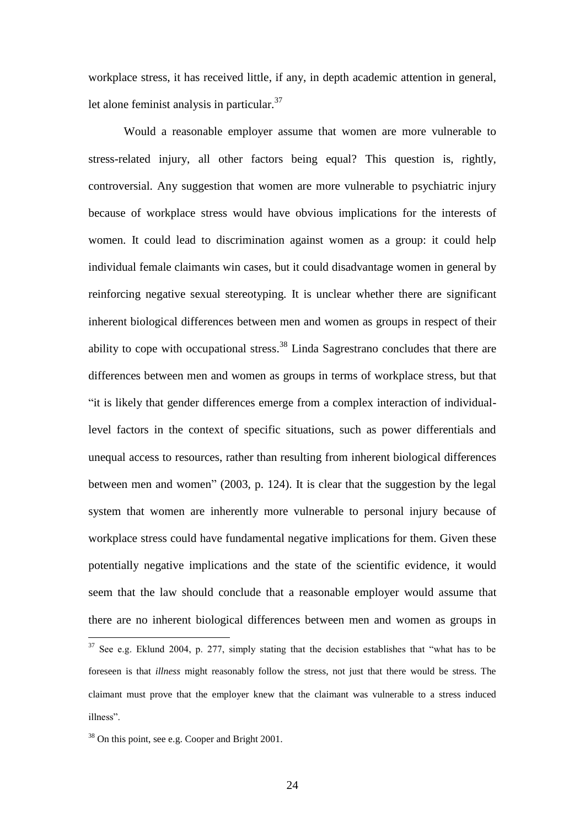workplace stress, it has received little, if any, in depth academic attention in general, let alone feminist analysis in particular. $37$ 

Would a reasonable employer assume that women are more vulnerable to stress-related injury, all other factors being equal? This question is, rightly, controversial. Any suggestion that women are more vulnerable to psychiatric injury because of workplace stress would have obvious implications for the interests of women. It could lead to discrimination against women as a group: it could help individual female claimants win cases, but it could disadvantage women in general by reinforcing negative sexual stereotyping. It is unclear whether there are significant inherent biological differences between men and women as groups in respect of their ability to cope with occupational stress.<sup>38</sup> Linda Sagrestrano concludes that there are differences between men and women as groups in terms of workplace stress, but that "it is likely that gender differences emerge from a complex interaction of individuallevel factors in the context of specific situations, such as power differentials and unequal access to resources, rather than resulting from inherent biological differences between men and women" (2003, p. 124). It is clear that the suggestion by the legal system that women are inherently more vulnerable to personal injury because of workplace stress could have fundamental negative implications for them. Given these potentially negative implications and the state of the scientific evidence, it would seem that the law should conclude that a reasonable employer would assume that there are no inherent biological differences between men and women as groups in 1  $37$  See e.g. Eklund 2004, p. 277, simply stating that the decision establishes that "what has to be foreseen is that *illness* might reasonably follow the stress, not just that there would be stress. The

claimant must prove that the employer knew that the claimant was vulnerable to a stress induced illness".

<sup>&</sup>lt;sup>38</sup> On this point, see e.g. Cooper and Bright 2001.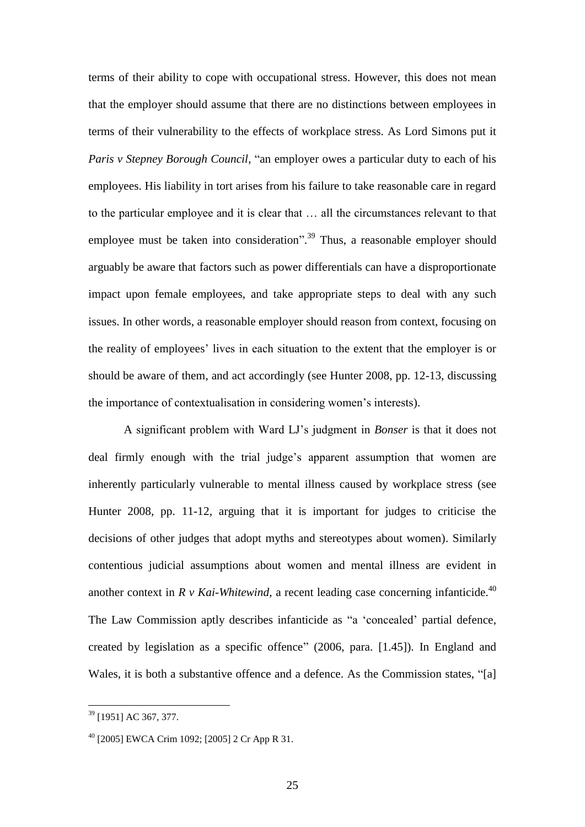terms of their ability to cope with occupational stress. However, this does not mean that the employer should assume that there are no distinctions between employees in terms of their vulnerability to the effects of workplace stress. As Lord Simons put it *Paris v Stepney Borough Council*, "an employer owes a particular duty to each of his employees. His liability in tort arises from his failure to take reasonable care in regard to the particular employee and it is clear that … all the circumstances relevant to that employee must be taken into consideration".<sup>39</sup> Thus, a reasonable employer should arguably be aware that factors such as power differentials can have a disproportionate impact upon female employees, and take appropriate steps to deal with any such issues. In other words, a reasonable employer should reason from context, focusing on the reality of employees" lives in each situation to the extent that the employer is or should be aware of them, and act accordingly (see Hunter 2008, pp. 12-13, discussing the importance of contextualisation in considering women"s interests).

A significant problem with Ward LJ"s judgment in *Bonser* is that it does not deal firmly enough with the trial judge"s apparent assumption that women are inherently particularly vulnerable to mental illness caused by workplace stress (see Hunter 2008, pp. 11-12, arguing that it is important for judges to criticise the decisions of other judges that adopt myths and stereotypes about women). Similarly contentious judicial assumptions about women and mental illness are evident in another context in  $R$  v Kai-Whitewind, a recent leading case concerning infanticide.<sup>40</sup> The Law Commission aptly describes infanticide as "a "concealed" partial defence, created by legislation as a specific offence" (2006, para. [1.45]). In England and Wales, it is both a substantive offence and a defence. As the Commission states, "[a]

<span id="page-25-0"></span> $39$  [1951] AC 367, 377.

<sup>40</sup> [2005] EWCA Crim 1092; [2005] 2 Cr App R 31.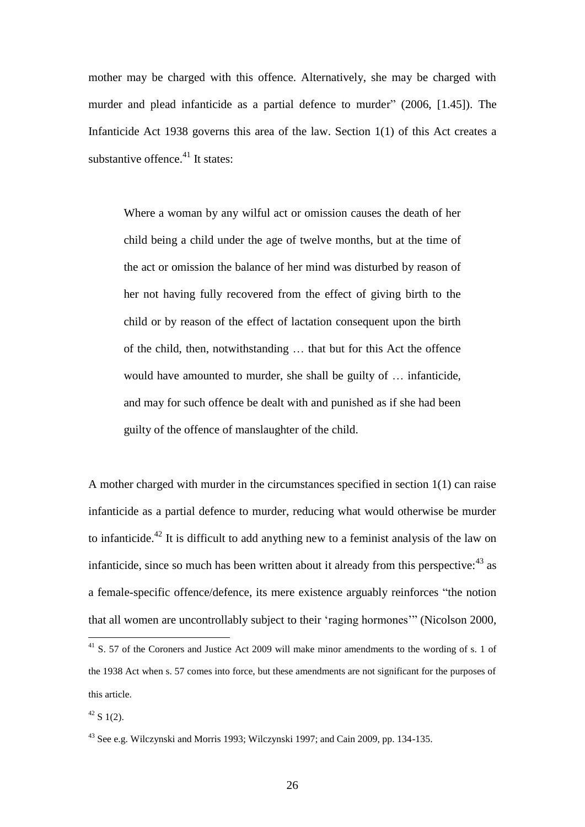mother may be charged with this offence. Alternatively, she may be charged with murder and plead infanticide as a partial defence to murder" (2006, [1.45]). The Infanticide Act 1938 governs this area of the law. Section 1(1) of this Act creates a substantive offence. $41$  It states:

Where a woman by any wilful act or omission causes the death of her child being a child under the age of twelve months, but at the time of the act or omission the balance of her mind was disturbed by reason of her not having fully recovered from the effect of giving birth to the child or by reason of the effect of lactation consequent upon the birth of the child, then, notwithstanding … that but for this Act the offence would have amounted to murder, she shall be guilty of … infanticide, and may for such offence be dealt with and punished as if she had been guilty of the offence of manslaughter of the child.

A mother charged with murder in the circumstances specified in section 1(1) can raise infanticide as a partial defence to murder, reducing what would otherwise be murder to infanticide.<sup>42</sup> It is difficult to add anything new to a feminist analysis of the law on infanticide, since so much has been written about it already from this perspective: $43$  as a female-specific offence/defence, its mere existence arguably reinforces "the notion that all women are uncontrollably subject to their "raging hormones"" (Nicolson 2000,

 $41$  S. 57 of the Coroners and Justice Act 2009 will make minor amendments to the wording of s. 1 of the 1938 Act when s. 57 comes into force, but these amendments are not significant for the purposes of this article.

 $42$  S 1(2).

<sup>43</sup> See e.g. Wilczynski and Morris 1993; Wilczynski 1997; and Cain 2009, pp. 134-135.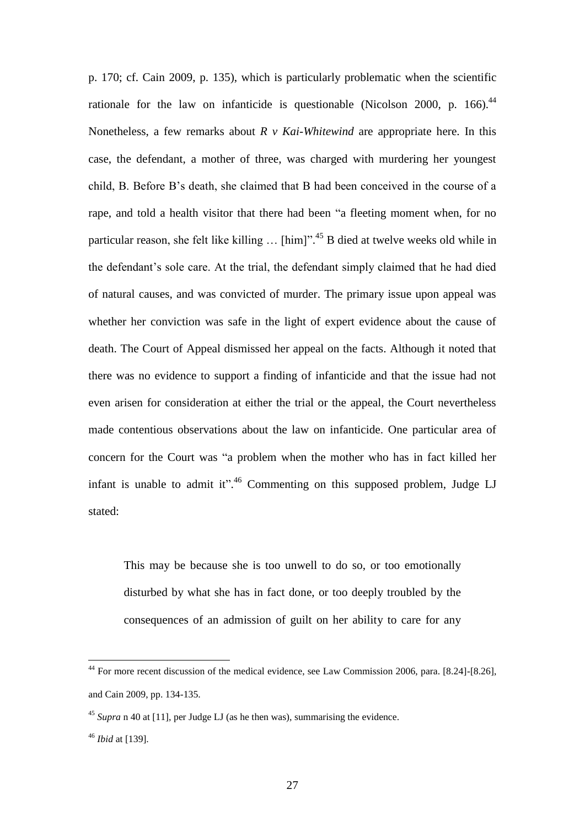p. 170; cf. Cain 2009, p. 135), which is particularly problematic when the scientific rationale for the law on infanticide is questionable (Nicolson 2000, p. 166).<sup>44</sup> Nonetheless, a few remarks about *R v Kai-Whitewind* are appropriate here. In this case, the defendant, a mother of three, was charged with murdering her youngest child, B. Before B"s death, she claimed that B had been conceived in the course of a rape, and told a health visitor that there had been "a fleeting moment when, for no particular reason, she felt like killing ... [him]".<sup>45</sup> B died at twelve weeks old while in the defendant"s sole care. At the trial, the defendant simply claimed that he had died of natural causes, and was convicted of murder. The primary issue upon appeal was whether her conviction was safe in the light of expert evidence about the cause of death. The Court of Appeal dismissed her appeal on the facts. Although it noted that there was no evidence to support a finding of infanticide and that the issue had not even arisen for consideration at either the trial or the appeal, the Court nevertheless made contentious observations about the law on infanticide. One particular area of concern for the Court was "a problem when the mother who has in fact killed her infant is unable to admit it".<sup>46</sup> Commenting on this supposed problem, Judge LJ stated:

This may be because she is too unwell to do so, or too emotionally disturbed by what she has in fact done, or too deeply troubled by the consequences of an admission of guilt on her ability to care for any

<sup>&</sup>lt;sup>44</sup> For more recent discussion of the medical evidence, see Law Commission 2006, para. [8.24]-[8.26], and Cain 2009, pp. 134-135.

<sup>45</sup> *Supra* n [40](#page-25-0) at [11], per Judge LJ (as he then was), summarising the evidence.

<sup>46</sup> *Ibid* at [139].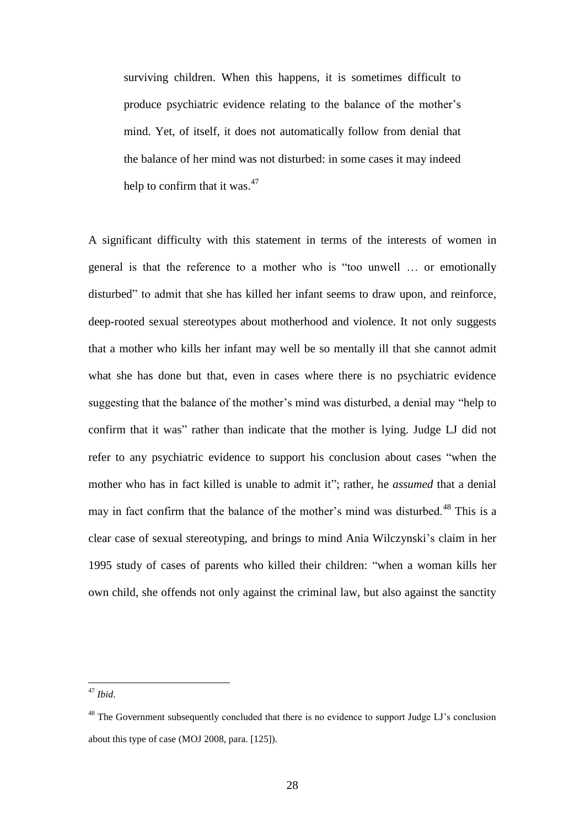surviving children. When this happens, it is sometimes difficult to produce psychiatric evidence relating to the balance of the mother"s mind. Yet, of itself, it does not automatically follow from denial that the balance of her mind was not disturbed: in some cases it may indeed help to confirm that it was.<sup>47</sup>

A significant difficulty with this statement in terms of the interests of women in general is that the reference to a mother who is "too unwell … or emotionally disturbed" to admit that she has killed her infant seems to draw upon, and reinforce, deep-rooted sexual stereotypes about motherhood and violence. It not only suggests that a mother who kills her infant may well be so mentally ill that she cannot admit what she has done but that, even in cases where there is no psychiatric evidence suggesting that the balance of the mother"s mind was disturbed, a denial may "help to confirm that it was" rather than indicate that the mother is lying. Judge LJ did not refer to any psychiatric evidence to support his conclusion about cases "when the mother who has in fact killed is unable to admit it"; rather, he *assumed* that a denial may in fact confirm that the balance of the mother's mind was disturbed.<sup>48</sup> This is a clear case of sexual stereotyping, and brings to mind Ania Wilczynski"s claim in her 1995 study of cases of parents who killed their children: "when a woman kills her own child, she offends not only against the criminal law, but also against the sanctity

<sup>47</sup> *Ibid*.

<sup>&</sup>lt;sup>48</sup> The Government subsequently concluded that there is no evidence to support Judge LJ's conclusion about this type of case (MOJ 2008, para. [125]).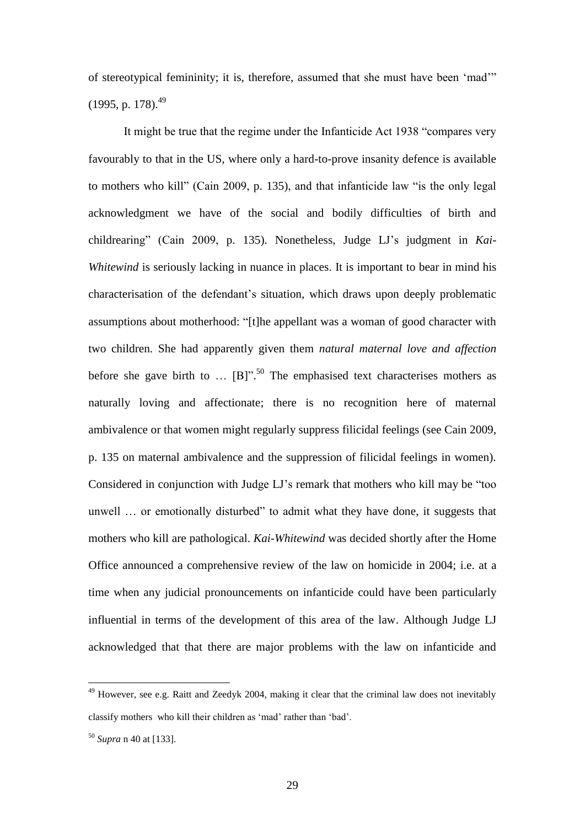of stereotypical femininity; it is, therefore, assumed that she must have been "mad""  $(1995, p. 178).^{49}$ 

It might be true that the regime under the Infanticide Act 1938 "compares very favourably to that in the US, where only a hard-to-prove insanity defence is available to mothers who kill" (Cain 2009, p. 135), and that infanticide law "is the only legal acknowledgment we have of the social and bodily difficulties of birth and childrearing" (Cain 2009, p. 135). Nonetheless, Judge LJ"s judgment in *Kai-Whitewind* is seriously lacking in nuance in places. It is important to bear in mind his characterisation of the defendant"s situation, which draws upon deeply problematic assumptions about motherhood: "[t]he appellant was a woman of good character with two children. She had apparently given them *natural maternal love and affection*  before she gave birth to ...  $[B]$ ".<sup>50</sup> The emphasised text characterises mothers as naturally loving and affectionate; there is no recognition here of maternal ambivalence or that women might regularly suppress filicidal feelings (see Cain 2009, p. 135 on maternal ambivalence and the suppression of filicidal feelings in women). Considered in conjunction with Judge LJ"s remark that mothers who kill may be "too unwell ... or emotionally disturbed" to admit what they have done, it suggests that mothers who kill are pathological. *Kai-Whitewind* was decided shortly after the Home Office announced a comprehensive review of the law on homicide in 2004; i.e. at a time when any judicial pronouncements on infanticide could have been particularly influential in terms of the development of this area of the law. Although Judge LJ acknowledged that that there are major problems with the law on infanticide and

 $49$  However, see e.g. Raitt and Zeedyk 2004, making it clear that the criminal law does not inevitably classify mothers who kill their children as "mad" rather than "bad".

<sup>50</sup> *Supra* n [40](#page-25-0) at [133].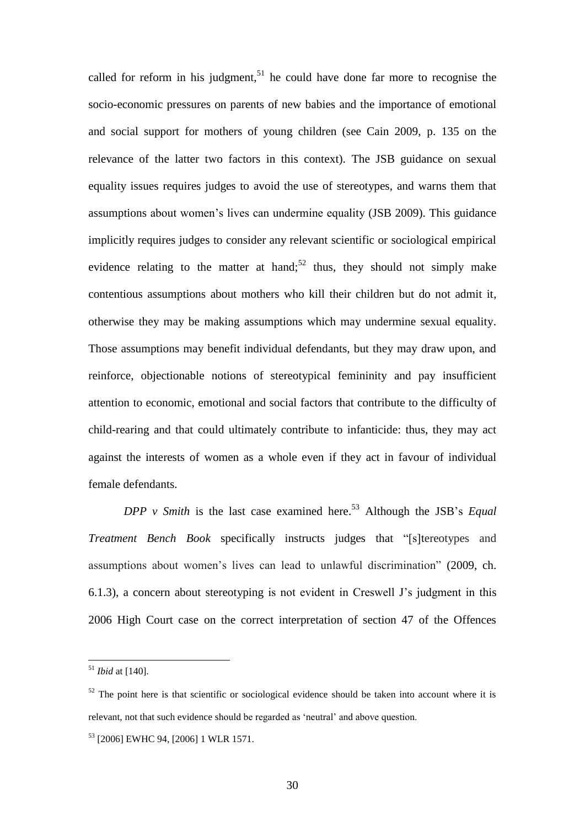called for reform in his judgment,<sup>51</sup> he could have done far more to recognise the socio-economic pressures on parents of new babies and the importance of emotional and social support for mothers of young children (see Cain 2009, p. 135 on the relevance of the latter two factors in this context). The JSB guidance on sexual equality issues requires judges to avoid the use of stereotypes, and warns them that assumptions about women"s lives can undermine equality (JSB 2009). This guidance implicitly requires judges to consider any relevant scientific or sociological empirical evidence relating to the matter at hand;<sup>52</sup> thus, they should not simply make contentious assumptions about mothers who kill their children but do not admit it, otherwise they may be making assumptions which may undermine sexual equality. Those assumptions may benefit individual defendants, but they may draw upon, and reinforce, objectionable notions of stereotypical femininity and pay insufficient attention to economic, emotional and social factors that contribute to the difficulty of child-rearing and that could ultimately contribute to infanticide: thus, they may act against the interests of women as a whole even if they act in favour of individual female defendants.

<span id="page-30-0"></span>*DPP v Smith* is the last case examined here. <sup>53</sup> Although the JSB"s *Equal Treatment Bench Book* specifically instructs judges that "[s]tereotypes and assumptions about women"s lives can lead to unlawful discrimination" (2009, ch. 6.1.3), a concern about stereotyping is not evident in Creswell J"s judgment in this 2006 High Court case on the correct interpretation of section 47 of the Offences

<sup>51</sup> *Ibid* at [140].

 $52$  The point here is that scientific or sociological evidence should be taken into account where it is relevant, not that such evidence should be regarded as "neutral" and above question.

<sup>53</sup> [2006] EWHC 94, [2006] 1 WLR 1571.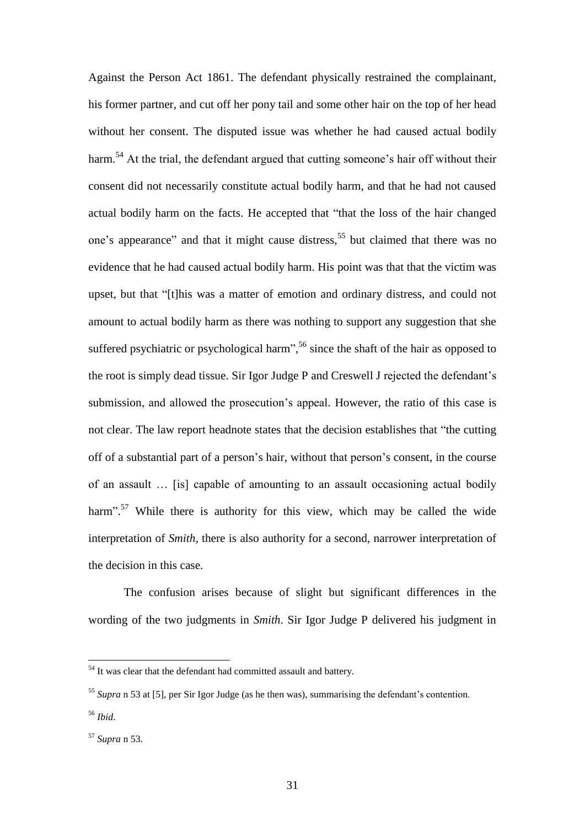Against the Person Act 1861. The defendant physically restrained the complainant, his former partner, and cut off her pony tail and some other hair on the top of her head without her consent. The disputed issue was whether he had caused actual bodily harm.<sup>54</sup> At the trial, the defendant argued that cutting someone's hair off without their consent did not necessarily constitute actual bodily harm, and that he had not caused actual bodily harm on the facts. He accepted that "that the loss of the hair changed one's appearance" and that it might cause distress,<sup>55</sup> but claimed that there was no evidence that he had caused actual bodily harm. His point was that that the victim was upset, but that "[t]his was a matter of emotion and ordinary distress, and could not amount to actual bodily harm as there was nothing to support any suggestion that she suffered psychiatric or psychological harm",<sup>56</sup> since the shaft of the hair as opposed to the root is simply dead tissue. Sir Igor Judge P and Creswell J rejected the defendant"s submission, and allowed the prosecution"s appeal. However, the ratio of this case is not clear. The law report headnote states that the decision establishes that "the cutting off of a substantial part of a person"s hair, without that person"s consent, in the course of an assault … [is] capable of amounting to an assault occasioning actual bodily harm".<sup>57</sup> While there is authority for this view, which may be called the wide interpretation of *Smith*, there is also authority for a second, narrower interpretation of the decision in this case.

The confusion arises because of slight but significant differences in the wording of the two judgments in *Smith*. Sir Igor Judge P delivered his judgment in

 $<sup>54</sup>$  It was clear that the defendant had committed assault and battery.</sup>

<sup>&</sup>lt;sup>55</sup> *Supra* n [53](#page-30-0) at [5], per Sir Igor Judge (as he then was), summarising the defendant's contention.

<sup>56</sup> *Ibid*.

<sup>57</sup> *Supra* n [53.](#page-30-0)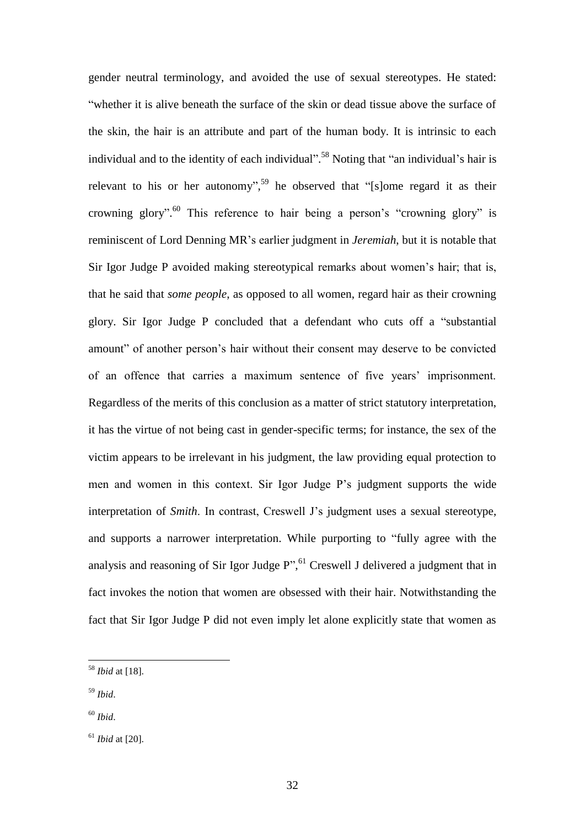gender neutral terminology, and avoided the use of sexual stereotypes. He stated: "whether it is alive beneath the surface of the skin or dead tissue above the surface of the skin, the hair is an attribute and part of the human body. It is intrinsic to each individual and to the identity of each individual".<sup>58</sup> Noting that "an individual's hair is relevant to his or her autonomy",<sup>59</sup> he observed that "[s]ome regard it as their crowning glory".<sup>60</sup> This reference to hair being a person's "crowning glory" is reminiscent of Lord Denning MR"s earlier judgment in *Jeremiah*, but it is notable that Sir Igor Judge P avoided making stereotypical remarks about women"s hair; that is, that he said that *some people*, as opposed to all women, regard hair as their crowning glory. Sir Igor Judge P concluded that a defendant who cuts off a "substantial amount" of another person"s hair without their consent may deserve to be convicted of an offence that carries a maximum sentence of five years" imprisonment. Regardless of the merits of this conclusion as a matter of strict statutory interpretation, it has the virtue of not being cast in gender-specific terms; for instance, the sex of the victim appears to be irrelevant in his judgment, the law providing equal protection to men and women in this context. Sir Igor Judge P"s judgment supports the wide interpretation of *Smith*. In contrast, Creswell J"s judgment uses a sexual stereotype, and supports a narrower interpretation. While purporting to "fully agree with the analysis and reasoning of Sir Igor Judge  $P^{\prime\prime}$ , <sup>61</sup> Creswell J delivered a judgment that in fact invokes the notion that women are obsessed with their hair. Notwithstanding the fact that Sir Igor Judge P did not even imply let alone explicitly state that women as

<sup>58</sup> *Ibid* at [18].

<sup>59</sup> *Ibid*.

<sup>60</sup> *Ibid*.

<sup>61</sup> *Ibid* at [20].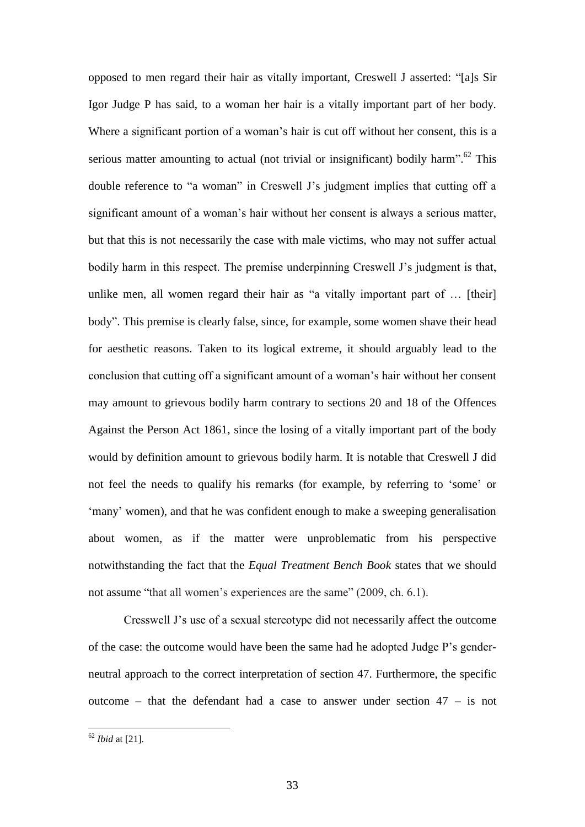opposed to men regard their hair as vitally important, Creswell J asserted: "[a]s Sir Igor Judge P has said, to a woman her hair is a vitally important part of her body. Where a significant portion of a woman's hair is cut off without her consent, this is a serious matter amounting to actual (not trivial or insignificant) bodily harm".<sup>62</sup> This double reference to "a woman" in Creswell J"s judgment implies that cutting off a significant amount of a woman"s hair without her consent is always a serious matter, but that this is not necessarily the case with male victims, who may not suffer actual bodily harm in this respect. The premise underpinning Creswell J's judgment is that, unlike men, all women regard their hair as "a vitally important part of … [their] body". This premise is clearly false, since, for example, some women shave their head for aesthetic reasons. Taken to its logical extreme, it should arguably lead to the conclusion that cutting off a significant amount of a woman"s hair without her consent may amount to grievous bodily harm contrary to sections 20 and 18 of the Offences Against the Person Act 1861, since the losing of a vitally important part of the body would by definition amount to grievous bodily harm. It is notable that Creswell J did not feel the needs to qualify his remarks (for example, by referring to "some" or 'many' women), and that he was confident enough to make a sweeping generalisation about women, as if the matter were unproblematic from his perspective notwithstanding the fact that the *Equal Treatment Bench Book* states that we should not assume "that all women's experiences are the same" (2009, ch. 6.1).

Cresswell J"s use of a sexual stereotype did not necessarily affect the outcome of the case: the outcome would have been the same had he adopted Judge P"s genderneutral approach to the correct interpretation of section 47. Furthermore, the specific outcome – that the defendant had a case to answer under section 47 – is not

<sup>62</sup> *Ibid* at [21].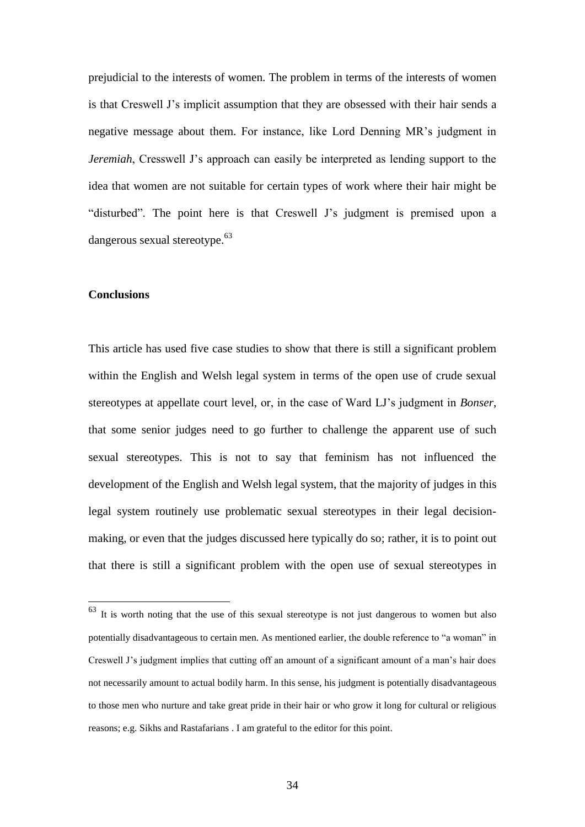prejudicial to the interests of women. The problem in terms of the interests of women is that Creswell J"s implicit assumption that they are obsessed with their hair sends a negative message about them. For instance, like Lord Denning MR"s judgment in *Jeremiah*, Cresswell J's approach can easily be interpreted as lending support to the idea that women are not suitable for certain types of work where their hair might be "disturbed". The point here is that Creswell J"s judgment is premised upon a dangerous sexual stereotype.<sup>63</sup>

#### **Conclusions**

1

This article has used five case studies to show that there is still a significant problem within the English and Welsh legal system in terms of the open use of crude sexual stereotypes at appellate court level, or, in the case of Ward LJ"s judgment in *Bonser*, that some senior judges need to go further to challenge the apparent use of such sexual stereotypes. This is not to say that feminism has not influenced the development of the English and Welsh legal system, that the majority of judges in this legal system routinely use problematic sexual stereotypes in their legal decisionmaking, or even that the judges discussed here typically do so; rather, it is to point out that there is still a significant problem with the open use of sexual stereotypes in

 $63$  It is worth noting that the use of this sexual stereotype is not just dangerous to women but also potentially disadvantageous to certain men. As mentioned earlier, the double reference to "a woman" in Creswell J's judgment implies that cutting off an amount of a significant amount of a man's hair does not necessarily amount to actual bodily harm. In this sense, his judgment is potentially disadvantageous to those men who nurture and take great pride in their hair or who grow it long for cultural or religious reasons; e.g. Sikhs and Rastafarians . I am grateful to the editor for this point.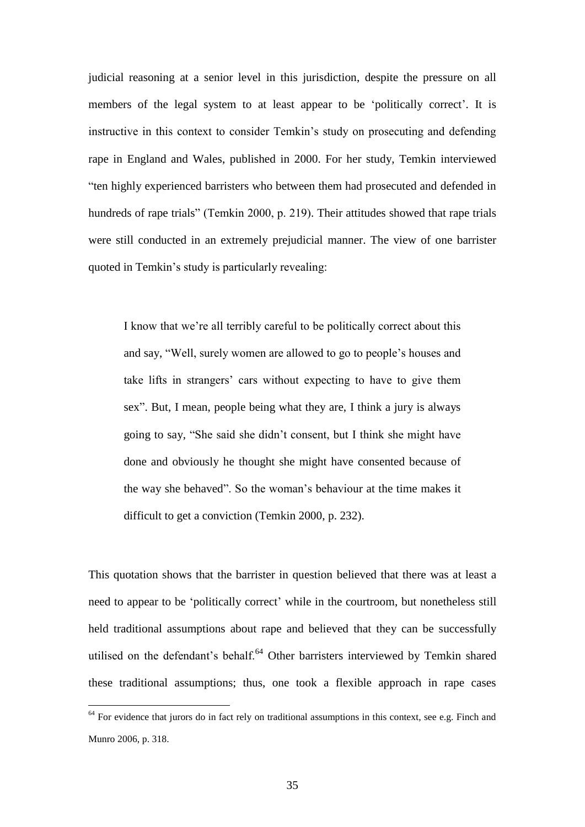judicial reasoning at a senior level in this jurisdiction, despite the pressure on all members of the legal system to at least appear to be 'politically correct'. It is instructive in this context to consider Temkin's study on prosecuting and defending rape in England and Wales, published in 2000. For her study, Temkin interviewed "ten highly experienced barristers who between them had prosecuted and defended in hundreds of rape trials" (Temkin 2000, p. 219). Their attitudes showed that rape trials were still conducted in an extremely prejudicial manner. The view of one barrister quoted in Temkin"s study is particularly revealing:

I know that we"re all terribly careful to be politically correct about this and say, "Well, surely women are allowed to go to people"s houses and take lifts in strangers' cars without expecting to have to give them sex". But, I mean, people being what they are, I think a jury is always going to say, "She said she didn"t consent, but I think she might have done and obviously he thought she might have consented because of the way she behaved". So the woman"s behaviour at the time makes it difficult to get a conviction (Temkin 2000, p. 232).

This quotation shows that the barrister in question believed that there was at least a need to appear to be "politically correct" while in the courtroom, but nonetheless still held traditional assumptions about rape and believed that they can be successfully utilised on the defendant's behalf.<sup>64</sup> Other barristers interviewed by Temkin shared these traditional assumptions; thus, one took a flexible approach in rape cases

 $64$  For evidence that jurors do in fact rely on traditional assumptions in this context, see e.g. Finch and Munro 2006, p. 318.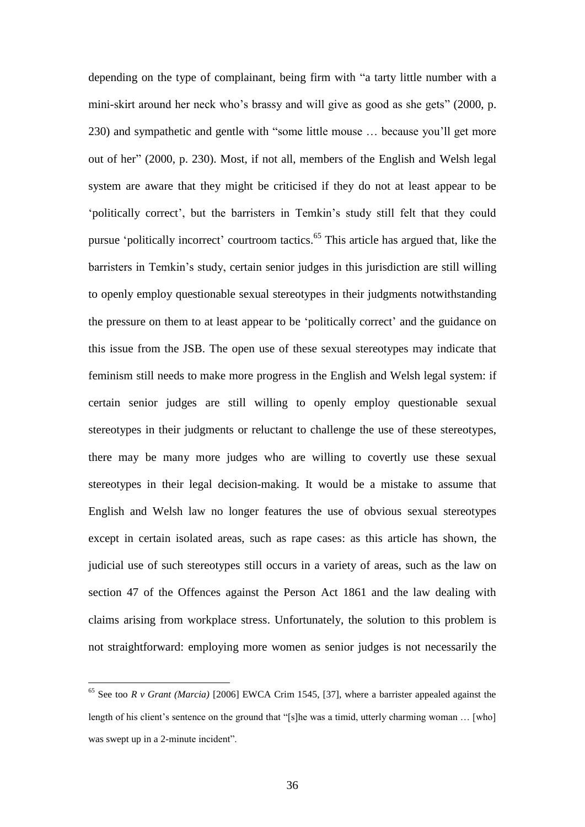depending on the type of complainant, being firm with "a tarty little number with a mini-skirt around her neck who"s brassy and will give as good as she gets" (2000, p. 230) and sympathetic and gentle with "some little mouse … because you"ll get more out of her" (2000, p. 230). Most, if not all, members of the English and Welsh legal system are aware that they might be criticised if they do not at least appear to be "politically correct", but the barristers in Temkin"s study still felt that they could pursue 'politically incorrect' courtroom tactics.<sup>65</sup> This article has argued that, like the barristers in Temkin"s study, certain senior judges in this jurisdiction are still willing to openly employ questionable sexual stereotypes in their judgments notwithstanding the pressure on them to at least appear to be "politically correct" and the guidance on this issue from the JSB. The open use of these sexual stereotypes may indicate that feminism still needs to make more progress in the English and Welsh legal system: if certain senior judges are still willing to openly employ questionable sexual stereotypes in their judgments or reluctant to challenge the use of these stereotypes, there may be many more judges who are willing to covertly use these sexual stereotypes in their legal decision-making. It would be a mistake to assume that English and Welsh law no longer features the use of obvious sexual stereotypes except in certain isolated areas, such as rape cases: as this article has shown, the judicial use of such stereotypes still occurs in a variety of areas, such as the law on section 47 of the Offences against the Person Act 1861 and the law dealing with claims arising from workplace stress. Unfortunately, the solution to this problem is not straightforward: employing more women as senior judges is not necessarily the

<sup>65</sup> See too *R v Grant (Marcia)* [2006] EWCA Crim 1545, [37], where a barrister appealed against the length of his client's sentence on the ground that "[s]he was a timid, utterly charming woman ... [who] was swept up in a 2-minute incident".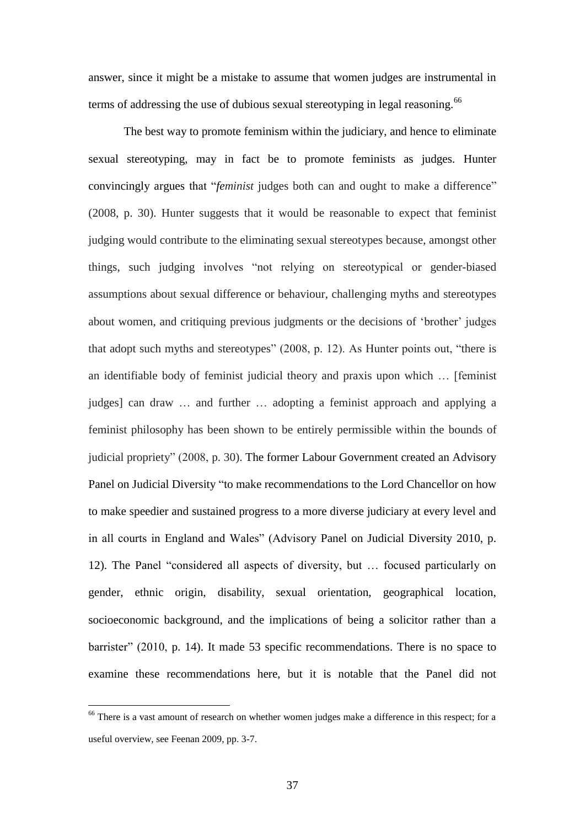answer, since it might be a mistake to assume that women judges are instrumental in terms of addressing the use of dubious sexual stereotyping in legal reasoning.<sup>66</sup>

The best way to promote feminism within the judiciary, and hence to eliminate sexual stereotyping, may in fact be to promote feminists as judges. Hunter convincingly argues that "*feminist* judges both can and ought to make a difference" (2008, p. 30). Hunter suggests that it would be reasonable to expect that feminist judging would contribute to the eliminating sexual stereotypes because, amongst other things, such judging involves "not relying on stereotypical or gender-biased assumptions about sexual difference or behaviour, challenging myths and stereotypes about women, and critiquing previous judgments or the decisions of "brother" judges that adopt such myths and stereotypes" (2008, p. 12). As Hunter points out, "there is an identifiable body of feminist judicial theory and praxis upon which … [feminist judges] can draw … and further … adopting a feminist approach and applying a feminist philosophy has been shown to be entirely permissible within the bounds of judicial propriety" (2008, p. 30). The former Labour Government created an Advisory Panel on Judicial Diversity "to make recommendations to the Lord Chancellor on how to make speedier and sustained progress to a more diverse judiciary at every level and in all courts in England and Wales" (Advisory Panel on Judicial Diversity 2010, p. 12). The Panel "considered all aspects of diversity, but … focused particularly on gender, ethnic origin, disability, sexual orientation, geographical location, socioeconomic background, and the implications of being a solicitor rather than a barrister" (2010, p. 14). It made 53 specific recommendations. There is no space to examine these recommendations here, but it is notable that the Panel did not

 $66$  There is a vast amount of research on whether women judges make a difference in this respect; for a useful overview, see Feenan 2009, pp. 3-7.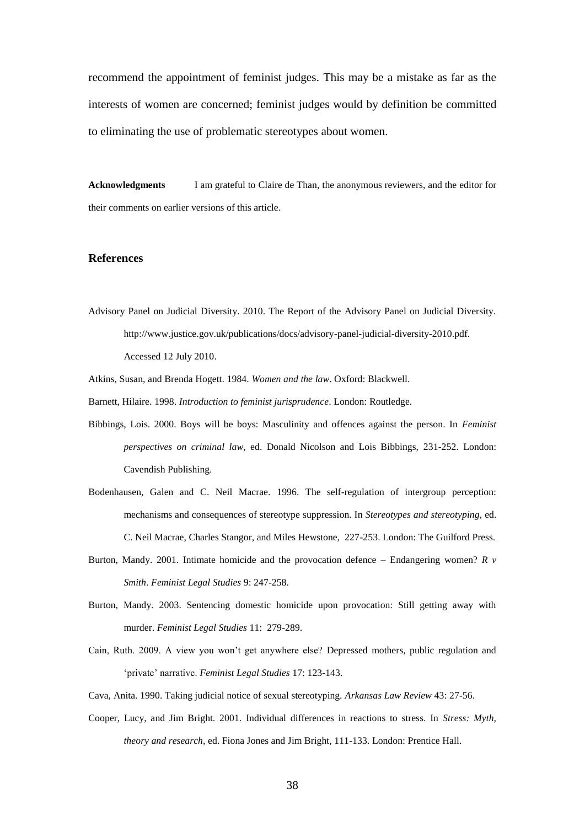recommend the appointment of feminist judges. This may be a mistake as far as the interests of women are concerned; feminist judges would by definition be committed to eliminating the use of problematic stereotypes about women.

**Acknowledgments** I am grateful to Claire de Than, the anonymous reviewers, and the editor for their comments on earlier versions of this article.

### **References**

Advisory Panel on Judicial Diversity. 2010. The Report of the Advisory Panel on Judicial Diversity. http://www.justice.gov.uk/publications/docs/advisory-panel-judicial-diversity-2010.pdf. Accessed 12 July 2010.

Atkins, Susan, and Brenda Hogett. 1984. *Women and the law*. Oxford: Blackwell.

Barnett, Hilaire. 1998. *Introduction to feminist jurisprudence*. London: Routledge.

- Bibbings, Lois. 2000. Boys will be boys: Masculinity and offences against the person. In *Feminist perspectives on criminal law*, ed. Donald Nicolson and Lois Bibbings, 231-252. London: Cavendish Publishing.
- Bodenhausen, Galen and C. Neil Macrae. 1996. The self-regulation of intergroup perception: mechanisms and consequences of stereotype suppression. In *Stereotypes and stereotyping*, ed. C. Neil Macrae, Charles Stangor, and Miles Hewstone, 227-253. London: The Guilford Press.
- Burton, Mandy. 2001. Intimate homicide and the provocation defence Endangering women? *R v Smith*. *Feminist Legal Studies* 9: 247-258.
- Burton, Mandy. 2003. Sentencing domestic homicide upon provocation: Still getting away with murder. *Feminist Legal Studies* 11: 279-289.
- Cain, Ruth. 2009. A view you won"t get anywhere else? Depressed mothers, public regulation and "private" narrative. *Feminist Legal Studies* 17: 123-143.
- Cava, Anita. 1990. Taking judicial notice of sexual stereotyping. *Arkansas Law Review* 43: 27-56.
- Cooper, Lucy, and Jim Bright. 2001. Individual differences in reactions to stress. In *Stress: Myth, theory and research*, ed. Fiona Jones and Jim Bright, 111-133. London: Prentice Hall.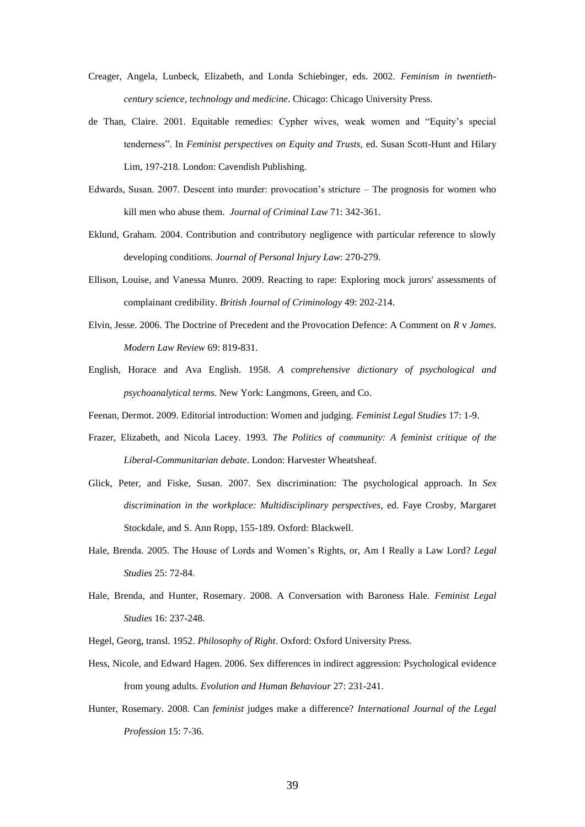- Creager, Angela, Lunbeck, Elizabeth, and Londa Schiebinger, eds. 2002. *Feminism in twentiethcentury science, technology and medicine*. Chicago: Chicago University Press.
- de Than, Claire. 2001. Equitable remedies: Cypher wives, weak women and "Equity"s special tenderness". In *Feminist perspectives on Equity and Trusts*, ed. Susan Scott-Hunt and Hilary Lim, 197-218. London: Cavendish Publishing.
- Edwards, Susan. 2007. Descent into murder: provocation"s stricture The prognosis for women who kill men who abuse them. *Journal of Criminal Law* 71: 342-361.
- Eklund, Graham. 2004. Contribution and contributory negligence with particular reference to slowly developing conditions. *Journal of Personal Injury Law*: 270-279.
- Ellison, Louise, and Vanessa Munro. 2009. Reacting to rape: Exploring mock jurors' assessments of complainant credibility. *British Journal of Criminology* 49: 202-214.
- Elvin, Jesse. 2006. The Doctrine of Precedent and the Provocation Defence: A Comment on *R* v *James*. *Modern Law Review* 69: 819-831.
- English, Horace and Ava English. 1958. *A comprehensive dictionary of psychological and psychoanalytical terms*. New York: Langmons, Green, and Co.
- Feenan, Dermot. 2009. Editorial introduction: Women and judging. *Feminist Legal Studies* 17: 1-9.
- Frazer, Elizabeth, and Nicola Lacey. 1993. *The Politics of community: A feminist critique of the Liberal-Communitarian debate*. London: Harvester Wheatsheaf.
- Glick, Peter, and Fiske, Susan. 2007. Sex discrimination: The psychological approach. In *Sex discrimination in the workplace: Multidisciplinary perspectives*, ed. Faye Crosby, Margaret Stockdale, and S. Ann Ropp, 155-189. Oxford: Blackwell.
- Hale, Brenda. 2005. The House of Lords and Women"s Rights, or, Am I Really a Law Lord? *Legal Studies* 25: 72-84.
- Hale, Brenda, and Hunter, Rosemary. 2008. A Conversation with Baroness Hale. *Feminist Legal Studies* 16: 237-248.
- Hegel, Georg, transl. 1952. *Philosophy of Right*. Oxford: Oxford University Press.
- Hess, Nicole, and Edward Hagen. 2006. Sex differences in indirect aggression: Psychological evidence from young adults. *Evolution and Human Behaviour* 27: 231-241.
- Hunter, Rosemary. 2008. Can *feminist* judges make a difference? *International Journal of the Legal Profession* 15: 7-36.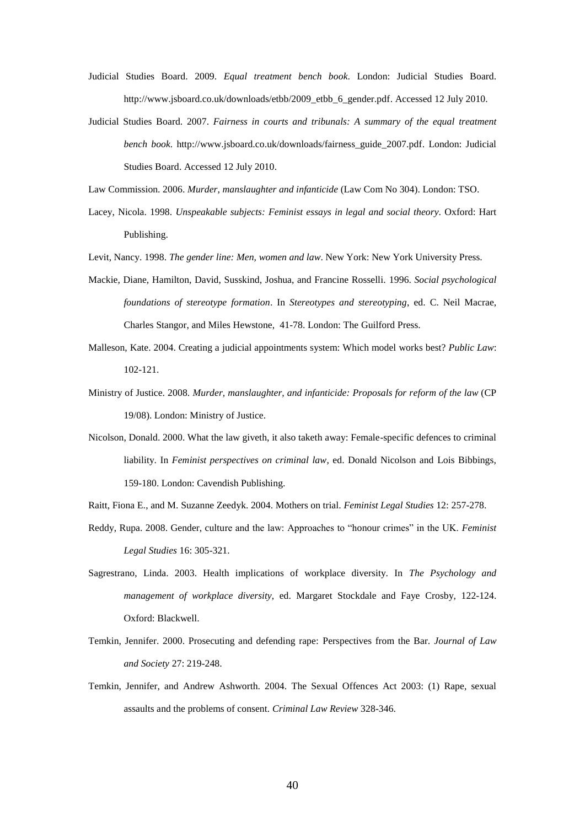- Judicial Studies Board. 2009. *Equal treatment bench book*. London: Judicial Studies Board. http://www.jsboard.co.uk/downloads/etbb/2009\_etbb\_6\_gender.pdf. Accessed 12 July 2010.
- Judicial Studies Board. 2007. *Fairness in courts and tribunals: A summary of the equal treatment bench book*. http://www.jsboard.co.uk/downloads/fairness\_guide\_2007.pdf. London: Judicial Studies Board. Accessed 12 July 2010.

Law Commission. 2006. *Murder, manslaughter and infanticide* (Law Com No 304). London: TSO.

- Lacey, Nicola. 1998. *Unspeakable subjects: Feminist essays in legal and social theory*. Oxford: Hart Publishing.
- Levit, Nancy. 1998. *The gender line: Men, women and law*. New York: New York University Press.
- Mackie, Diane, Hamilton, David, Susskind, Joshua, and Francine Rosselli. 1996. *Social psychological foundations of stereotype formation*. In *Stereotypes and stereotyping*, ed. C. Neil Macrae, Charles Stangor, and Miles Hewstone, 41-78. London: The Guilford Press.
- Malleson, Kate. 2004. Creating a judicial appointments system: Which model works best? *Public Law*: 102-121.
- Ministry of Justice. 2008. *Murder, manslaughter, and infanticide: Proposals for reform of the law* (CP 19/08). London: Ministry of Justice.
- Nicolson, Donald. 2000. What the law giveth, it also taketh away: Female-specific defences to criminal liability. In *Feminist perspectives on criminal law*, ed. Donald Nicolson and Lois Bibbings, 159-180. London: Cavendish Publishing.
- Raitt, Fiona E., and M. Suzanne Zeedyk. 2004. Mothers on trial. *Feminist Legal Studies* 12: 257-278.
- Reddy, Rupa. 2008. Gender, culture and the law: Approaches to "honour crimes" in the UK. *Feminist Legal Studies* 16: 305-321.
- Sagrestrano, Linda. 2003. Health implications of workplace diversity. In *The Psychology and management of workplace diversity*, ed. Margaret Stockdale and Faye Crosby, 122-124. Oxford: Blackwell.
- Temkin, Jennifer. 2000. Prosecuting and defending rape: Perspectives from the Bar. *Journal of Law and Society* 27: 219-248.
- Temkin, Jennifer, and Andrew Ashworth. 2004. The Sexual Offences Act 2003: (1) Rape, sexual assaults and the problems of consent. *Criminal Law Review* 328-346.